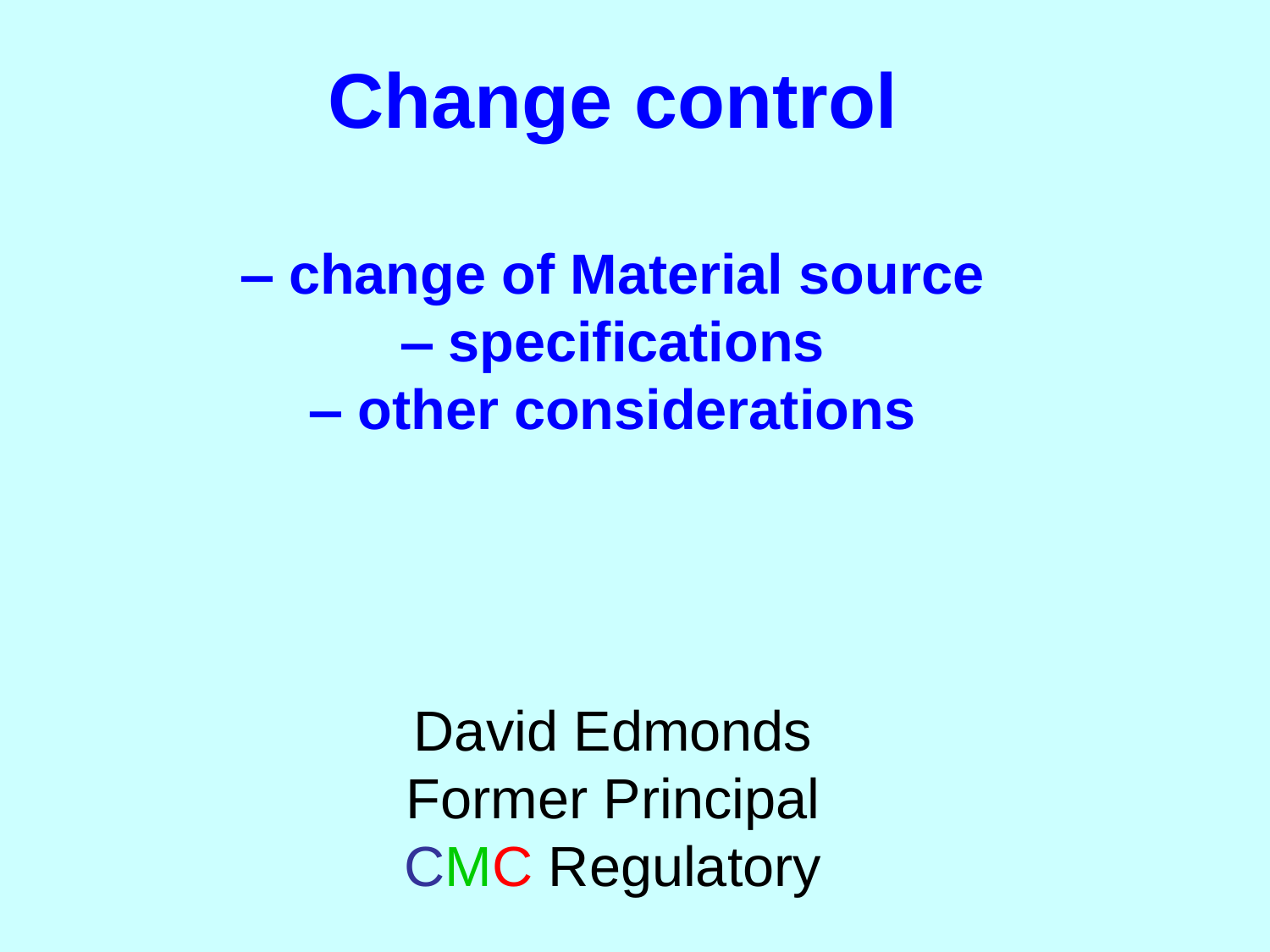# **Change control**

**– change of Material source – specifications – other considerations**

> David Edmonds Former Principal CMC Regulatory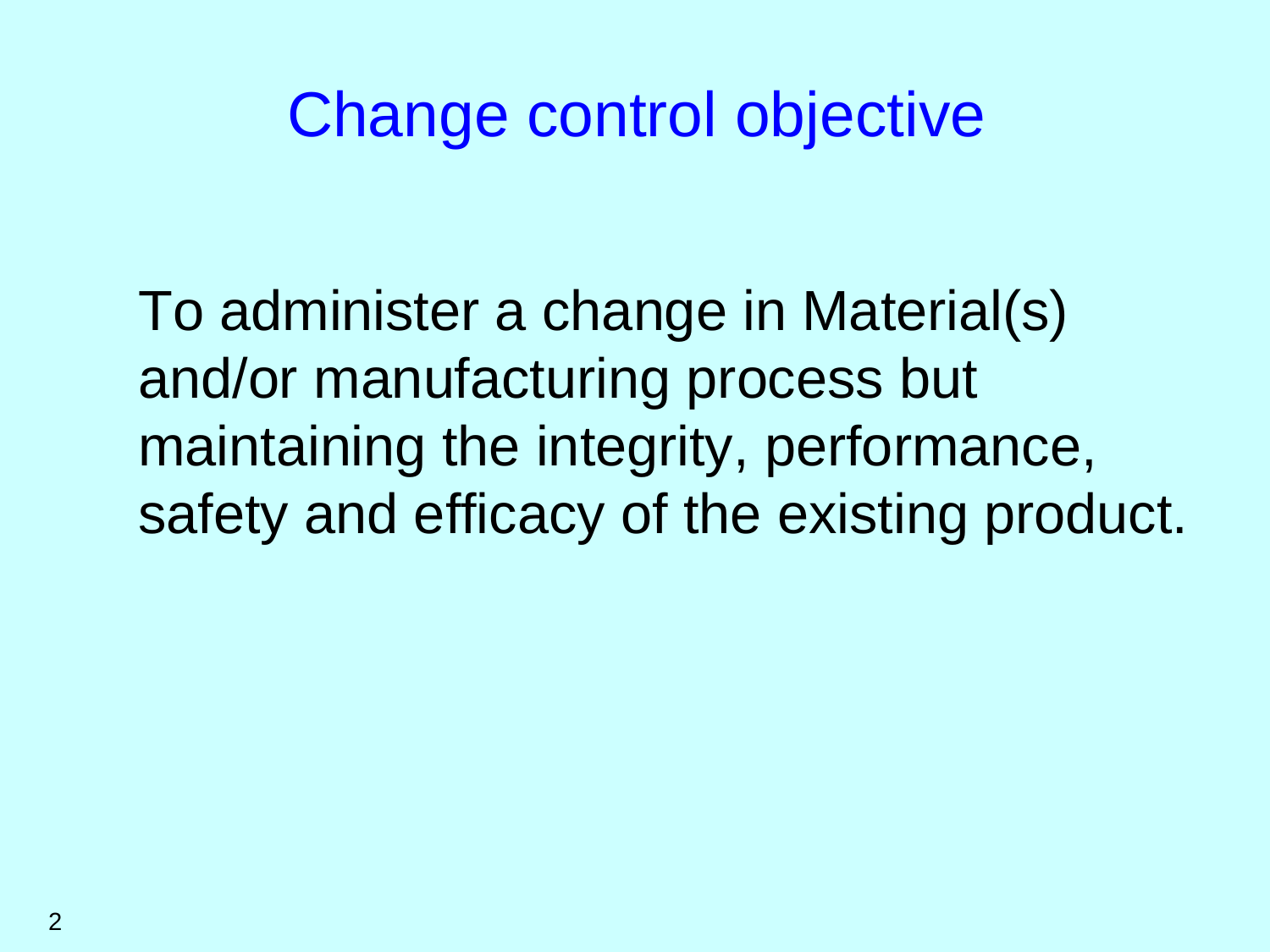# Change control objective

To administer a change in Material(s) and/or manufacturing process but maintaining the integrity, performance, safety and efficacy of the existing product.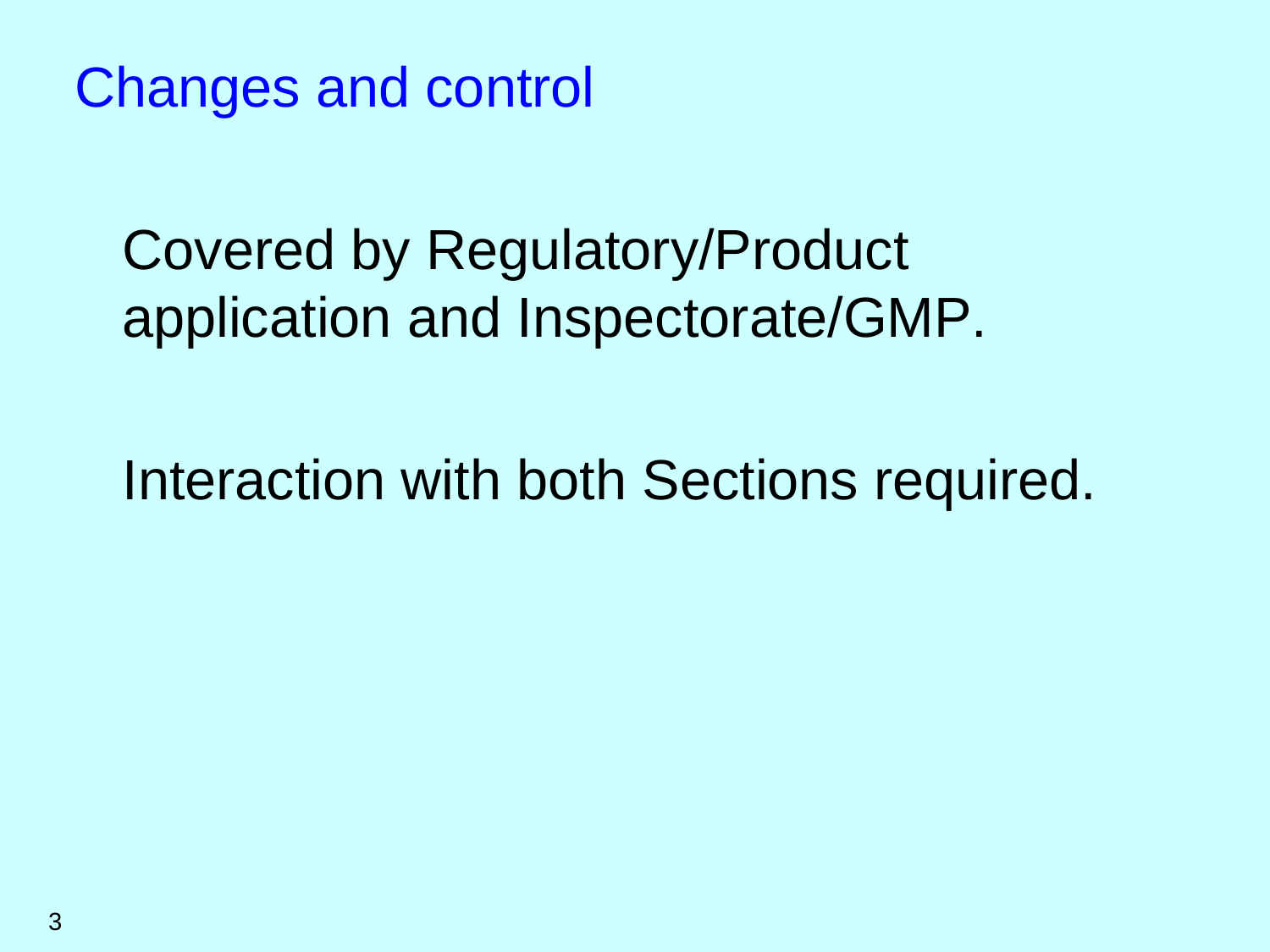Changes and control

Covered by Regulatory/Product application and Inspectorate/GMP.

Interaction with both Sections required.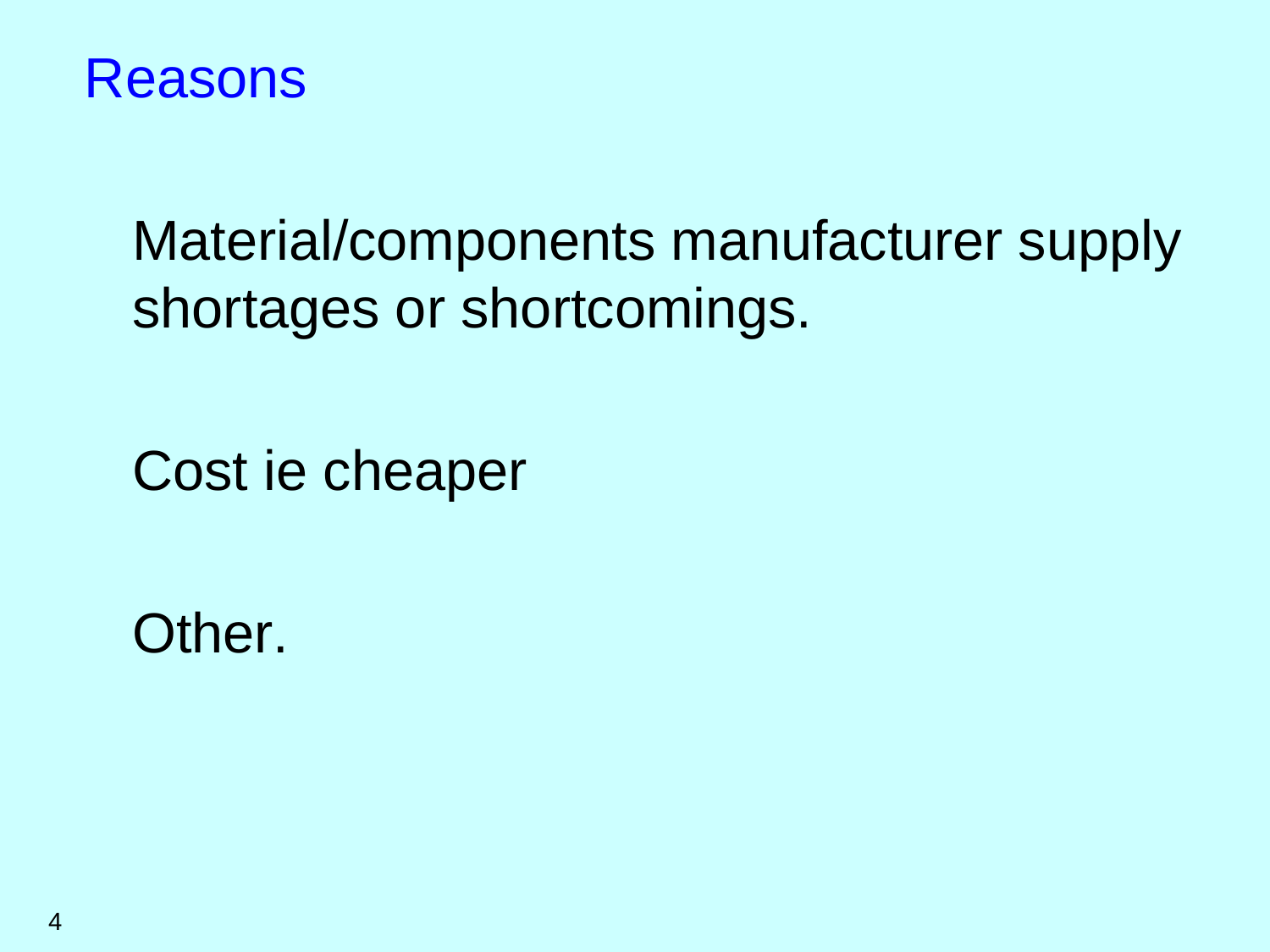

## Material/components manufacturer supply shortages or shortcomings.

Cost ie cheaper

Other.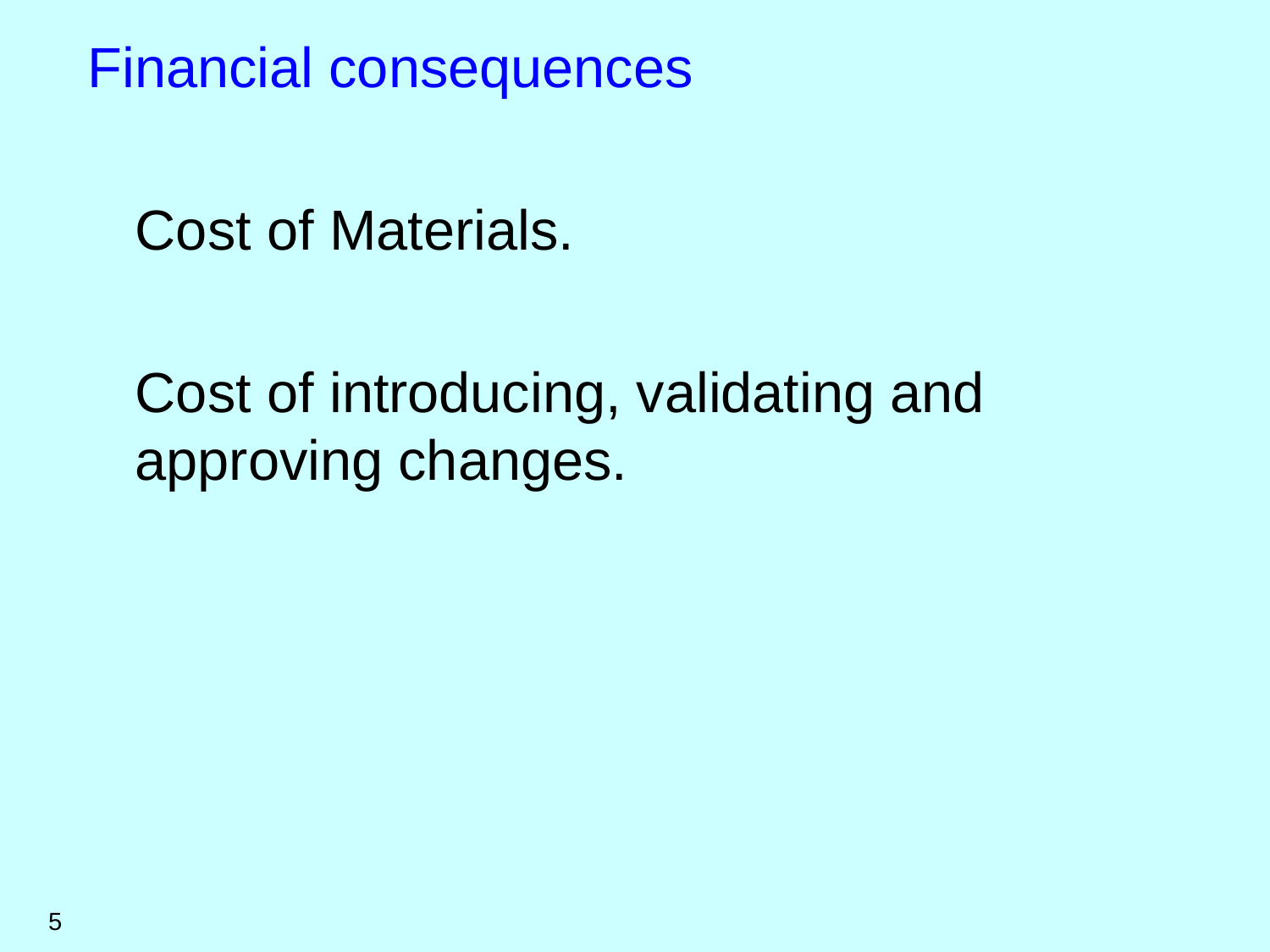Financial consequences

Cost of Materials.

Cost of introducing, validating and approving changes.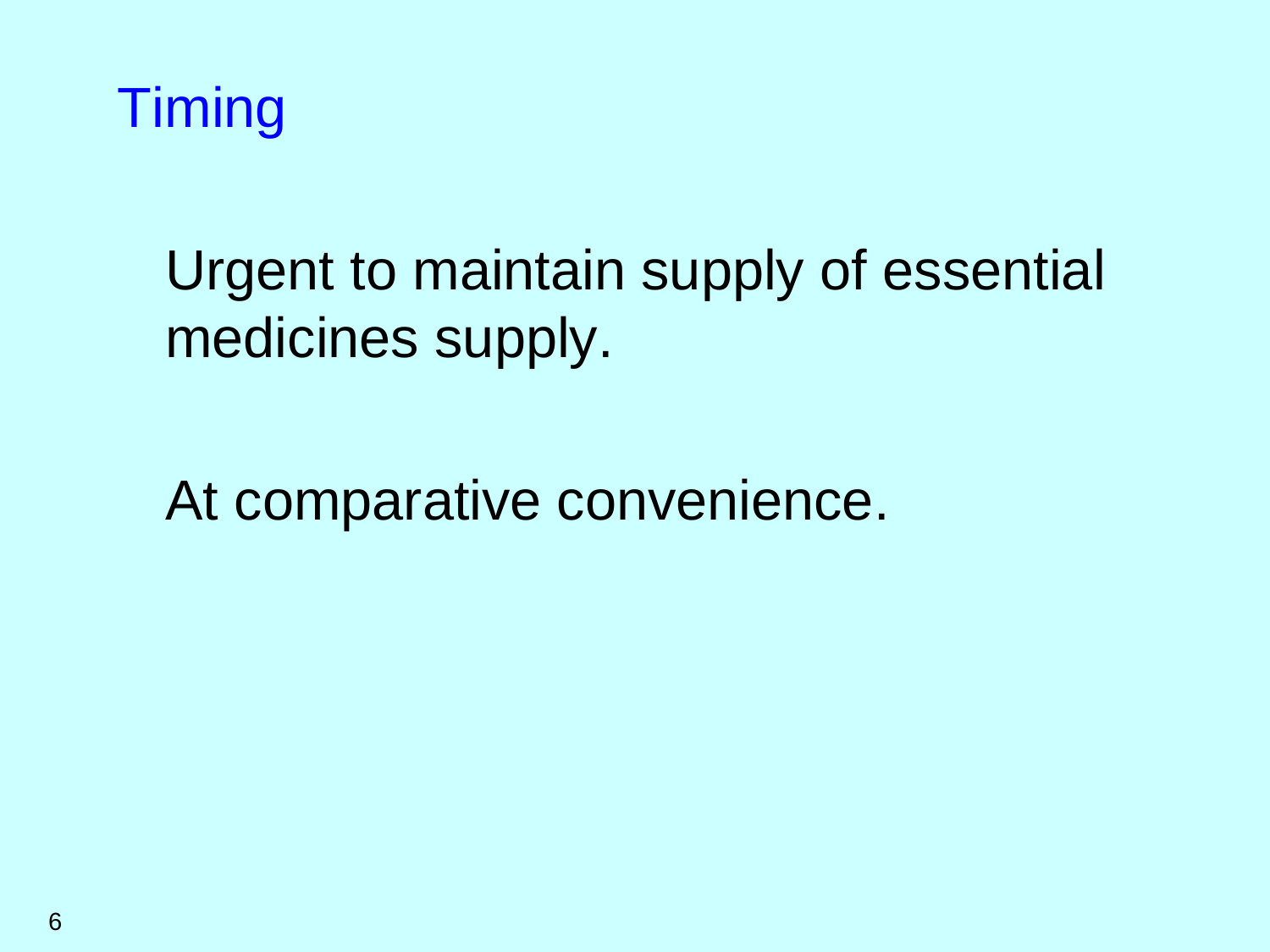

## Urgent to maintain supply of essential medicines supply.

At comparative convenience.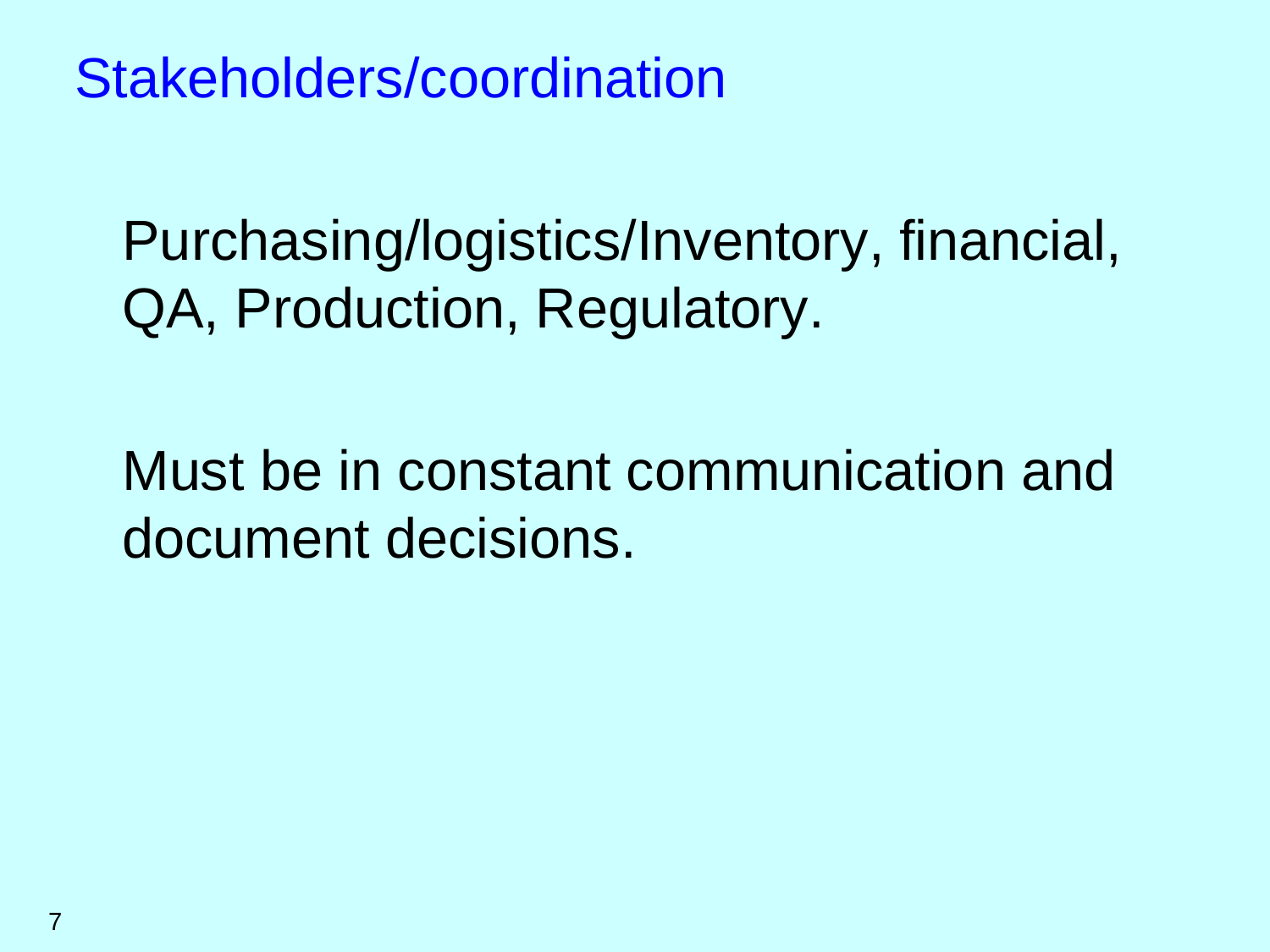Stakeholders/coordination

Purchasing/logistics/Inventory, financial, QA, Production, Regulatory.

Must be in constant communication and document decisions.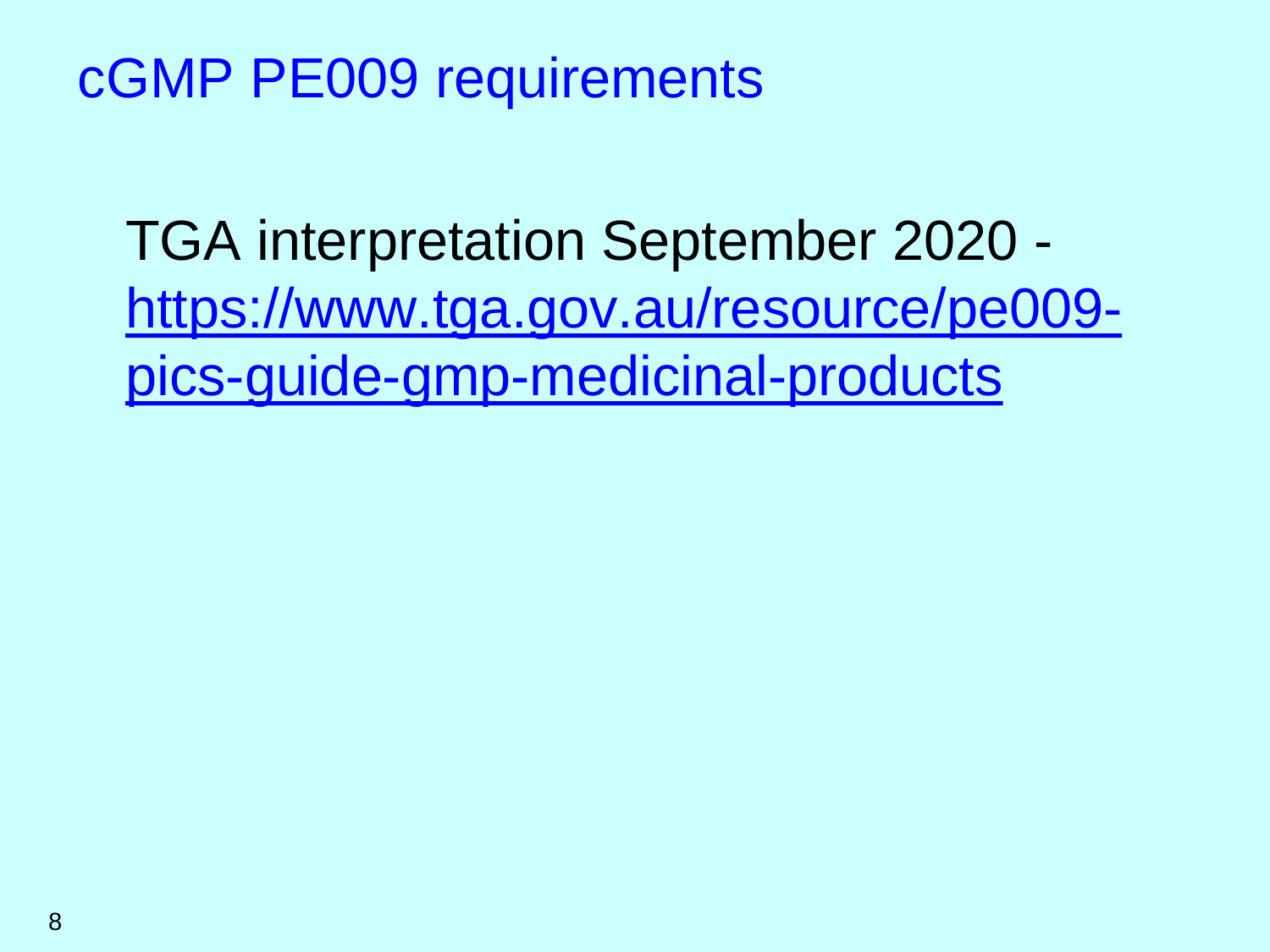#### cGMP PE009 requirements

TGA interpretation September 2020 https://www.tga.gov.au/resource/pe009 pics-guide-gmp-medicinal-products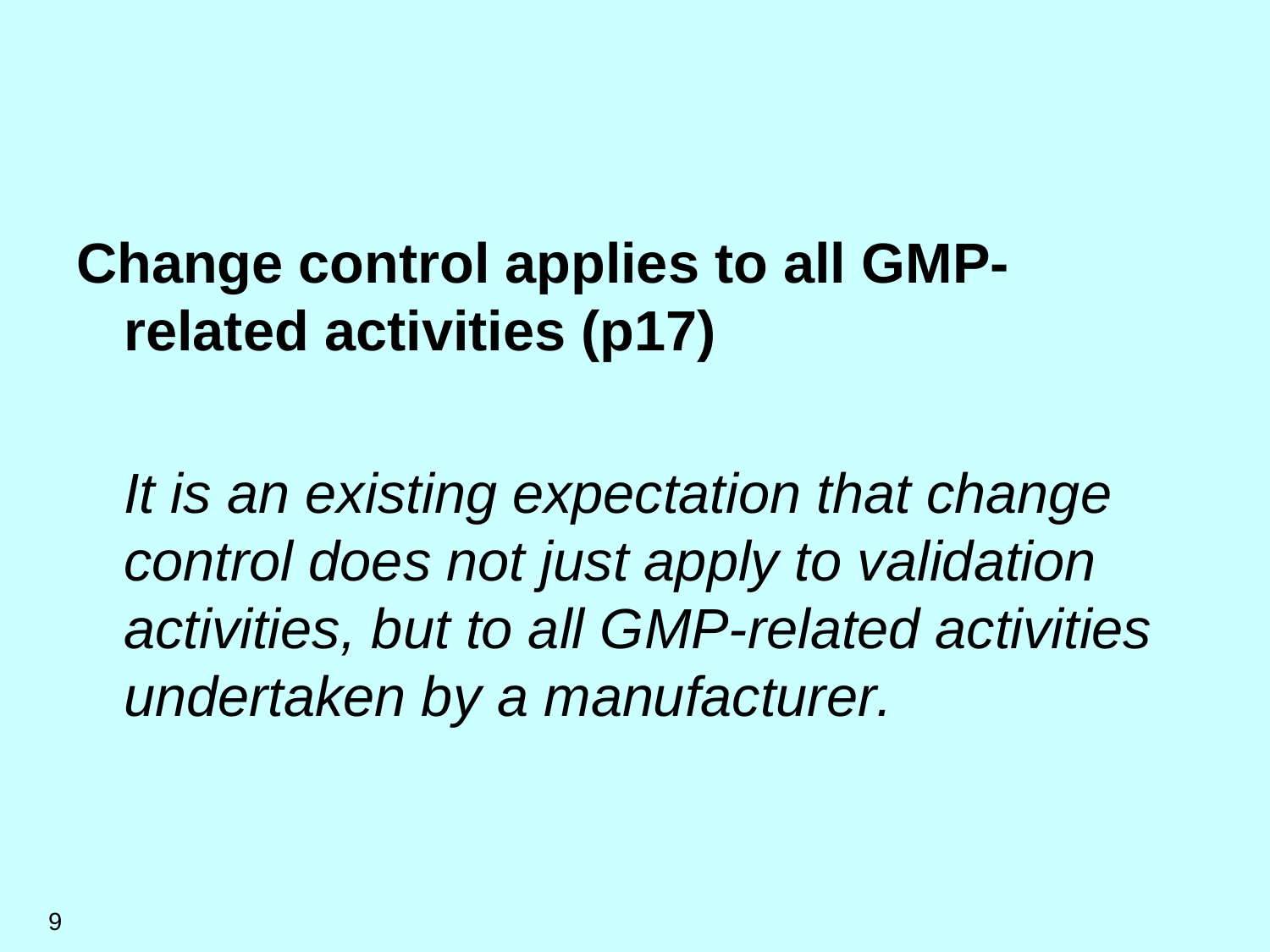# **Change control applies to all GMPrelated activities (p17)**

*It is an existing expectation that change control does not just apply to validation activities, but to all GMP-related activities undertaken by a manufacturer.*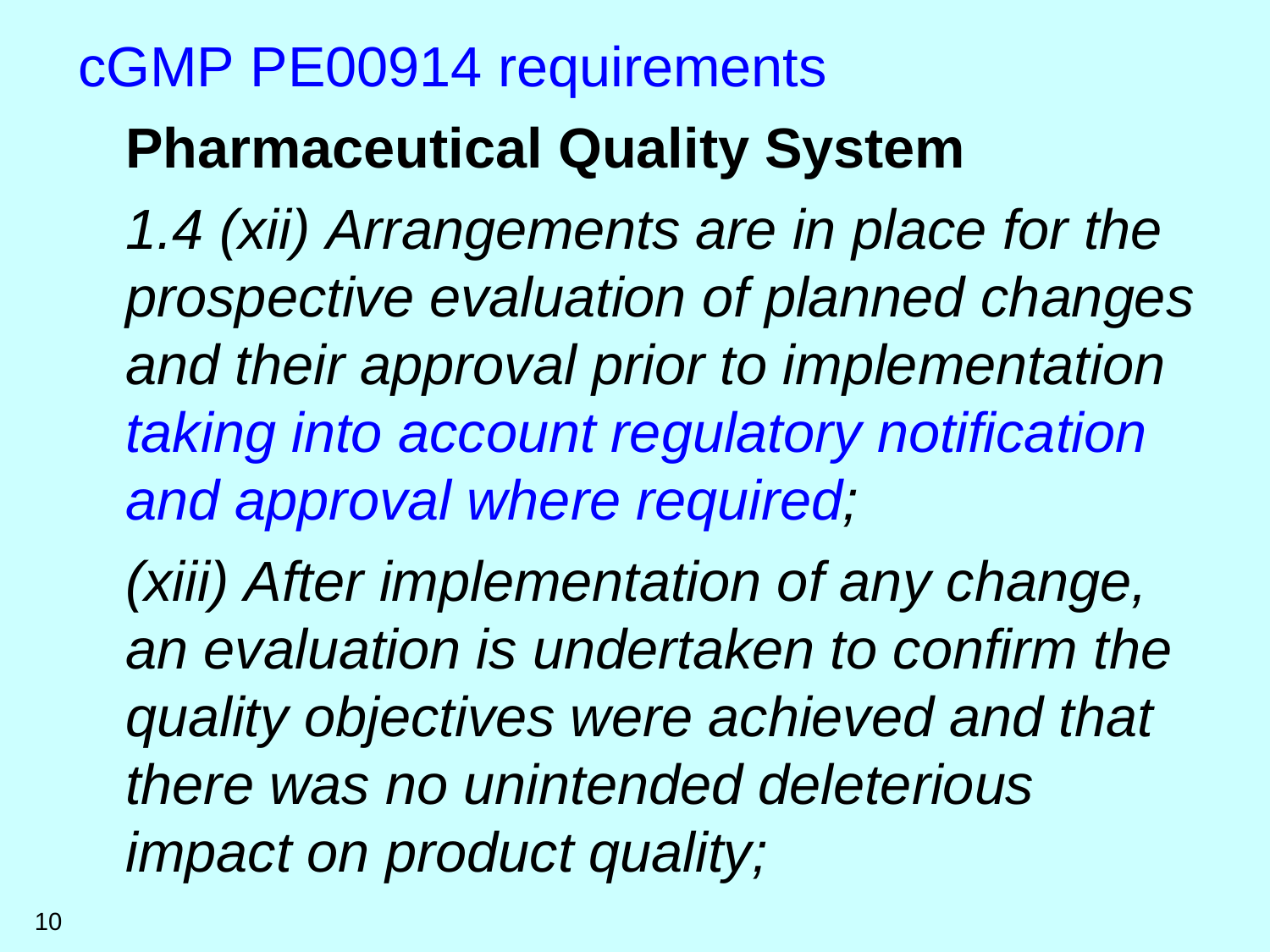### cGMP PE00914 requirements

## **Pharmaceutical Quality System**

*1.4 (xii) Arrangements are in place for the prospective evaluation of planned changes and their approval prior to implementation taking into account regulatory notification and approval where required;* 

*(xiii) After implementation of any change, an evaluation is undertaken to confirm the quality objectives were achieved and that there was no unintended deleterious impact on product quality;*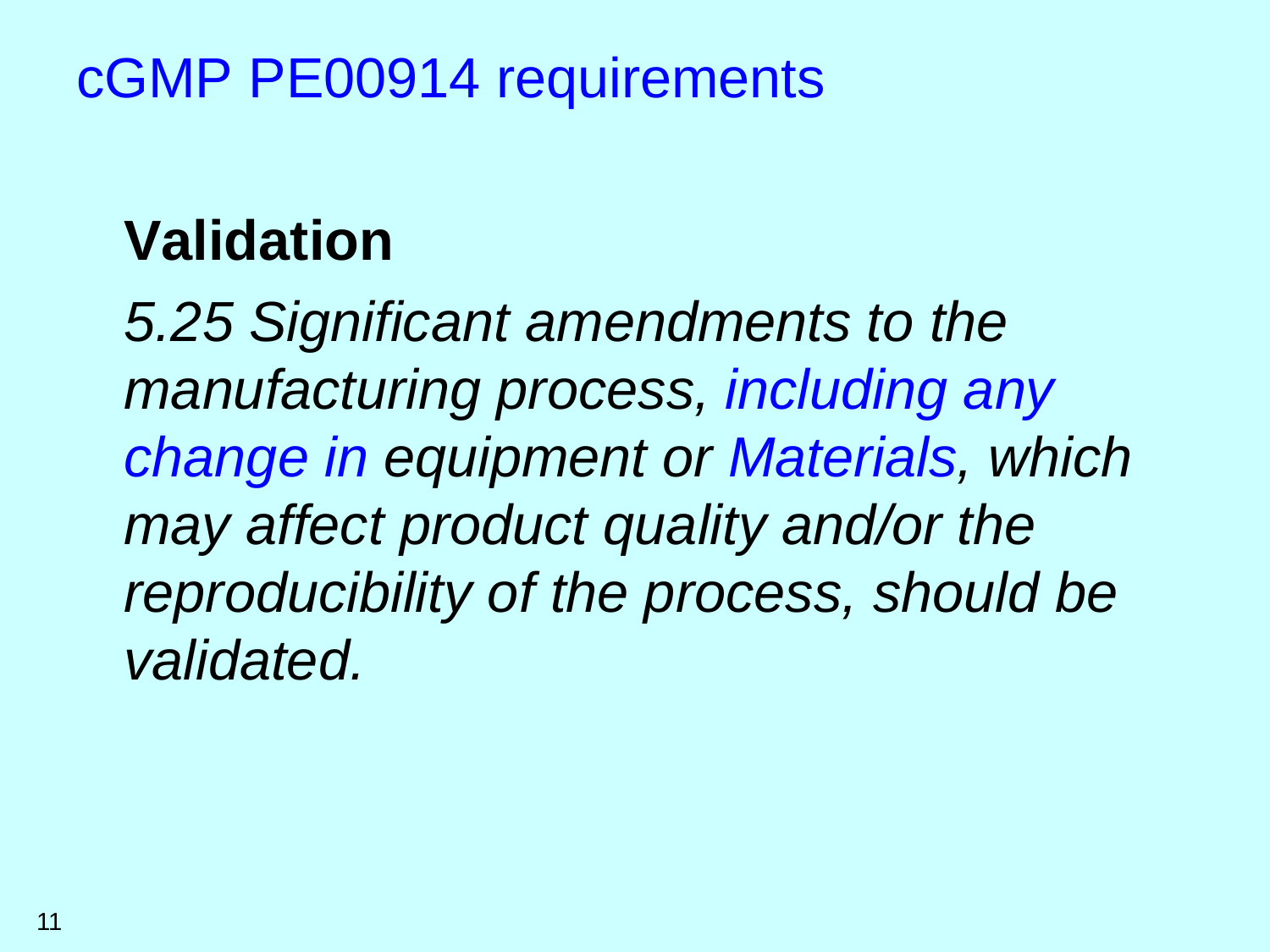### cGMP PE00914 requirements

## **Validation**

*5.25 Significant amendments to the manufacturing process, including any change in equipment or Materials, which may affect product quality and/or the reproducibility of the process, should be validated.*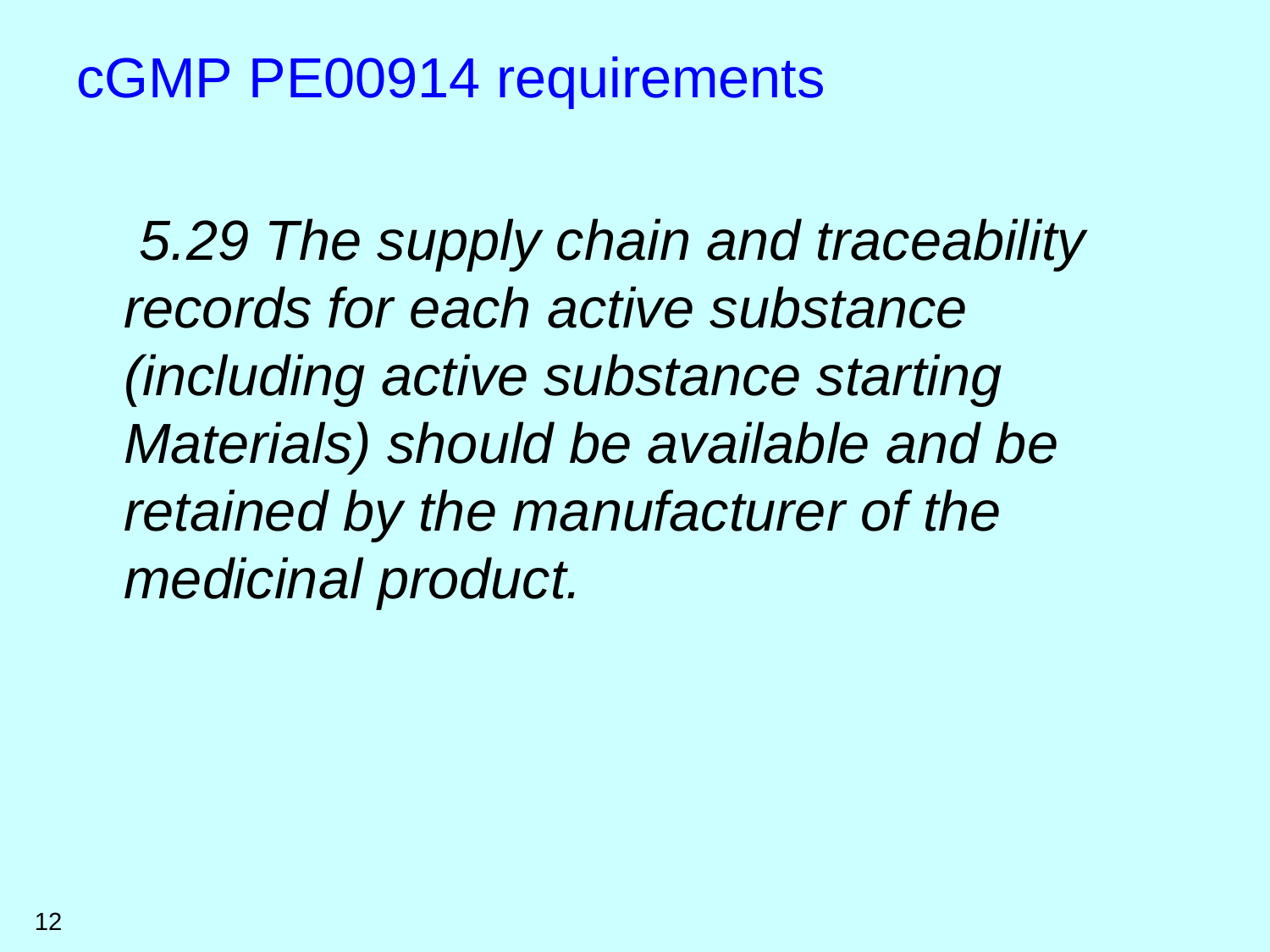#### cGMP PE00914 requirements

*5.29 The supply chain and traceability records for each active substance (including active substance starting Materials) should be available and be retained by the manufacturer of the medicinal product.*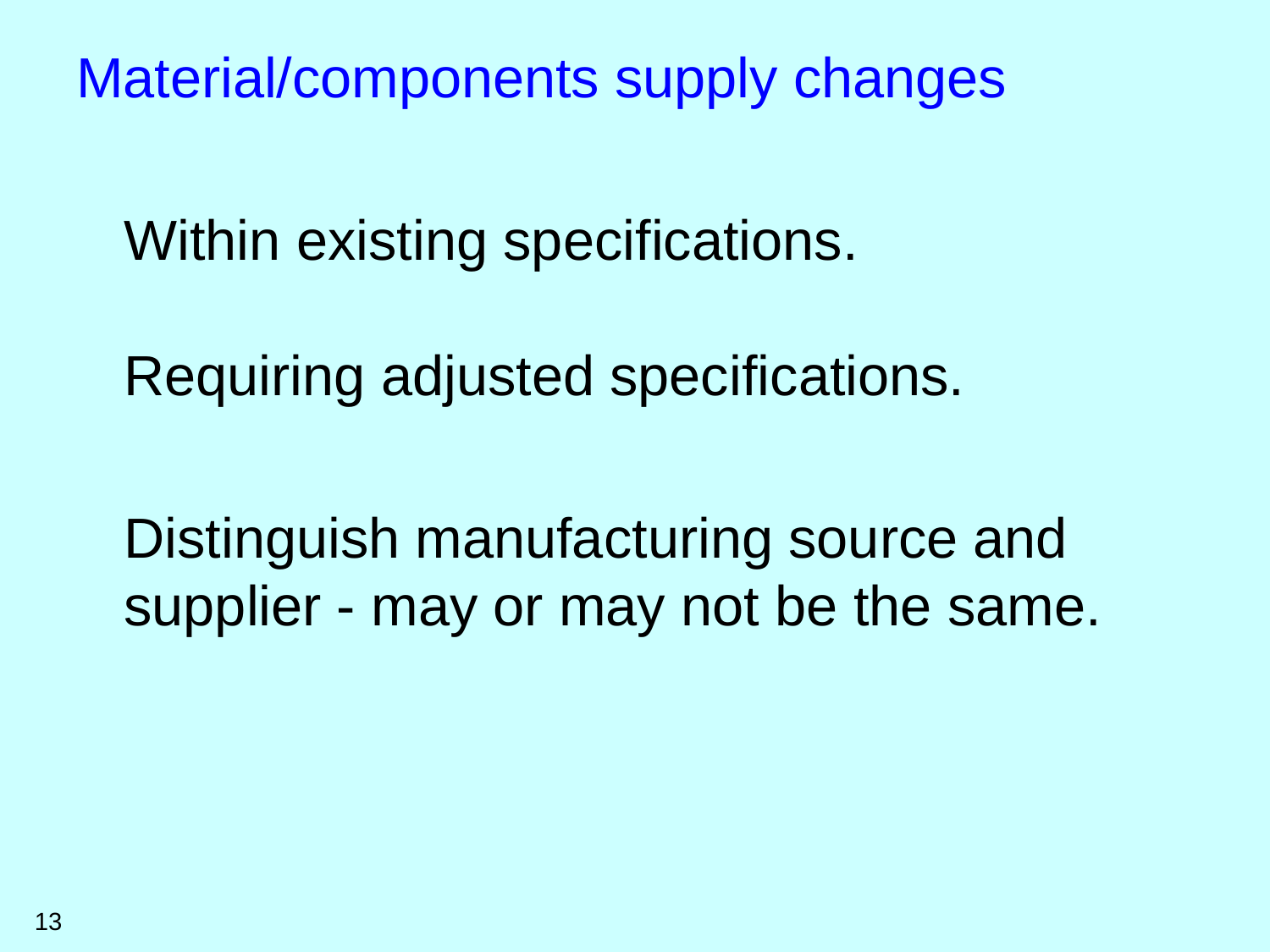Material/components supply changes

Within existing specifications.

Requiring adjusted specifications.

Distinguish manufacturing source and supplier - may or may not be the same.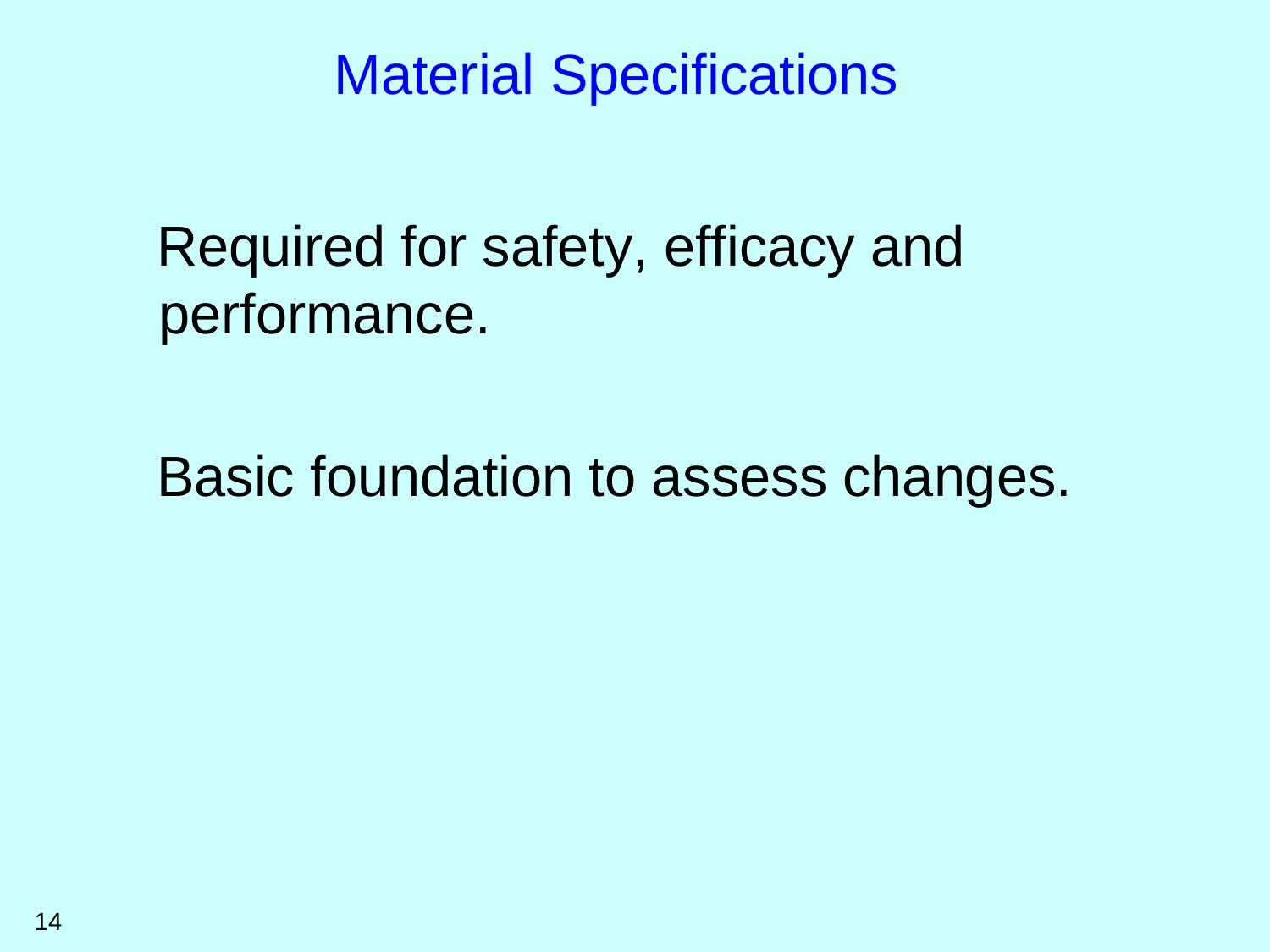## Required for safety, efficacy and performance.

Basic foundation to assess changes.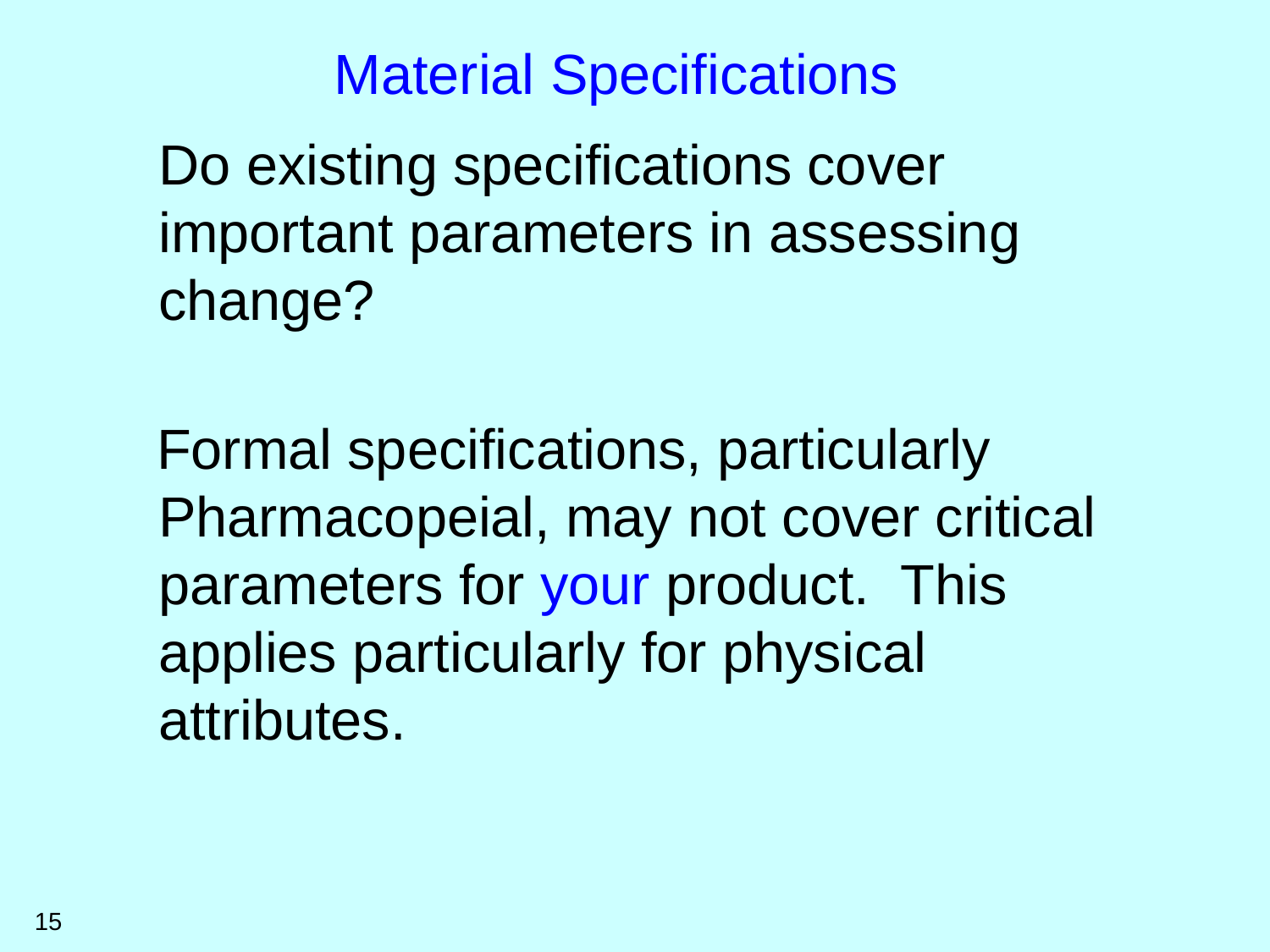Do existing specifications cover important parameters in assessing change?

Formal specifications, particularly Pharmacopeial, may not cover critical parameters for your product. This applies particularly for physical attributes.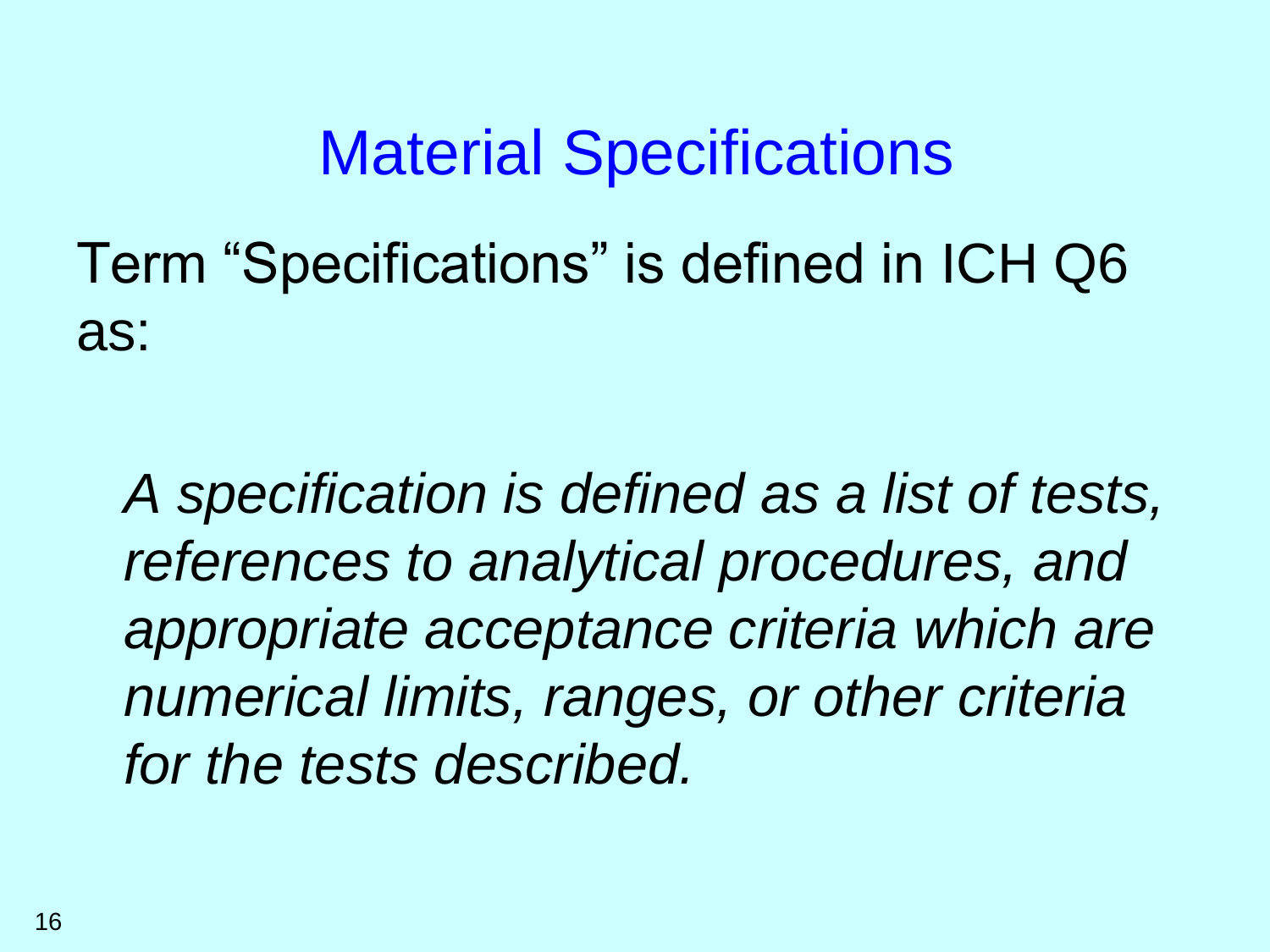Term "Specifications" is defined in ICH Q6 as:

*A specification is defined as a list of tests, references to analytical procedures, and appropriate acceptance criteria which are numerical limits, ranges, or other criteria for the tests described.*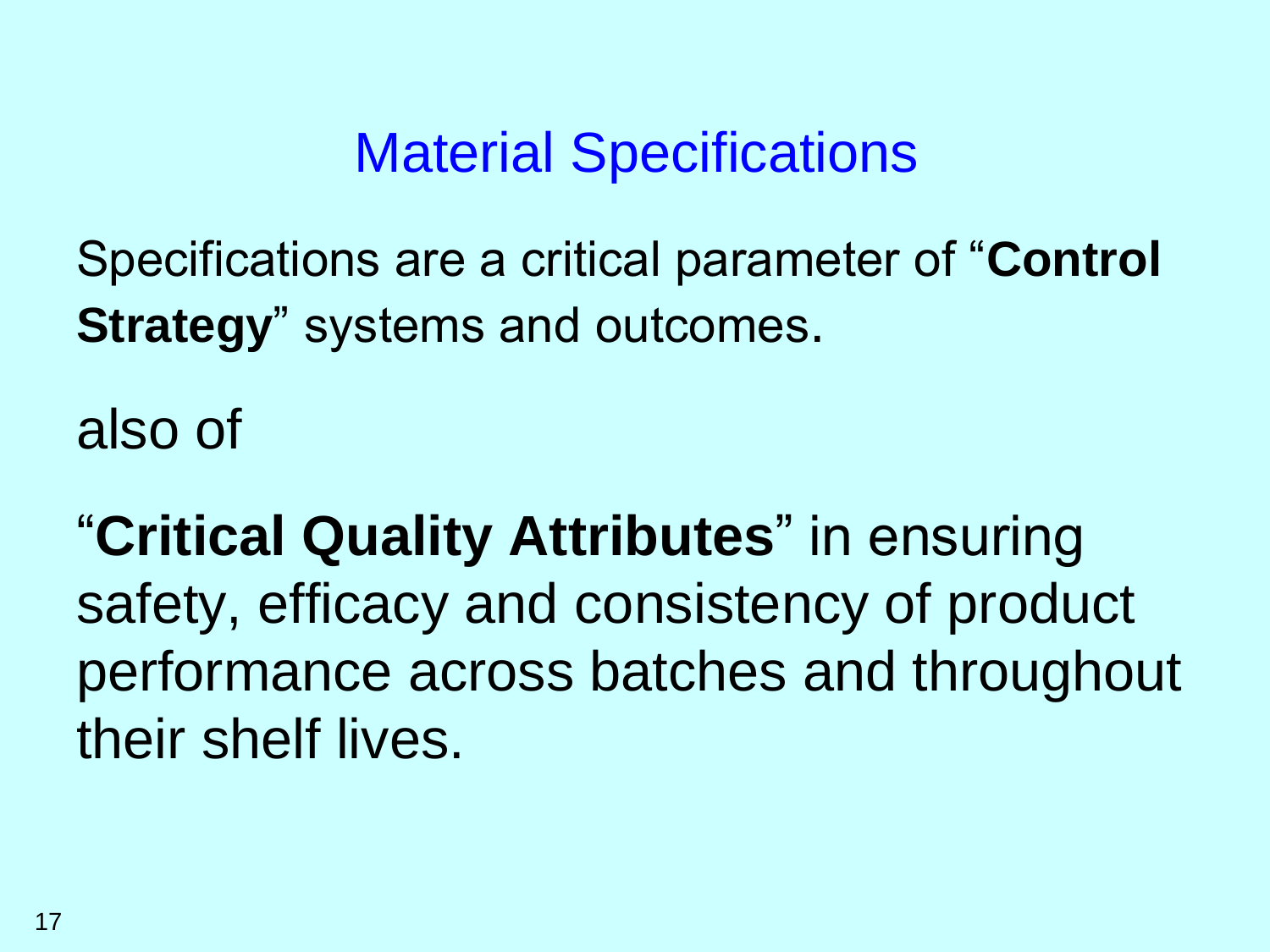Specifications are a critical parameter of "**Control Strategy**" systems and outcomes.

also of

"**Critical Quality Attributes**" in ensuring safety, efficacy and consistency of product performance across batches and throughout their shelf lives.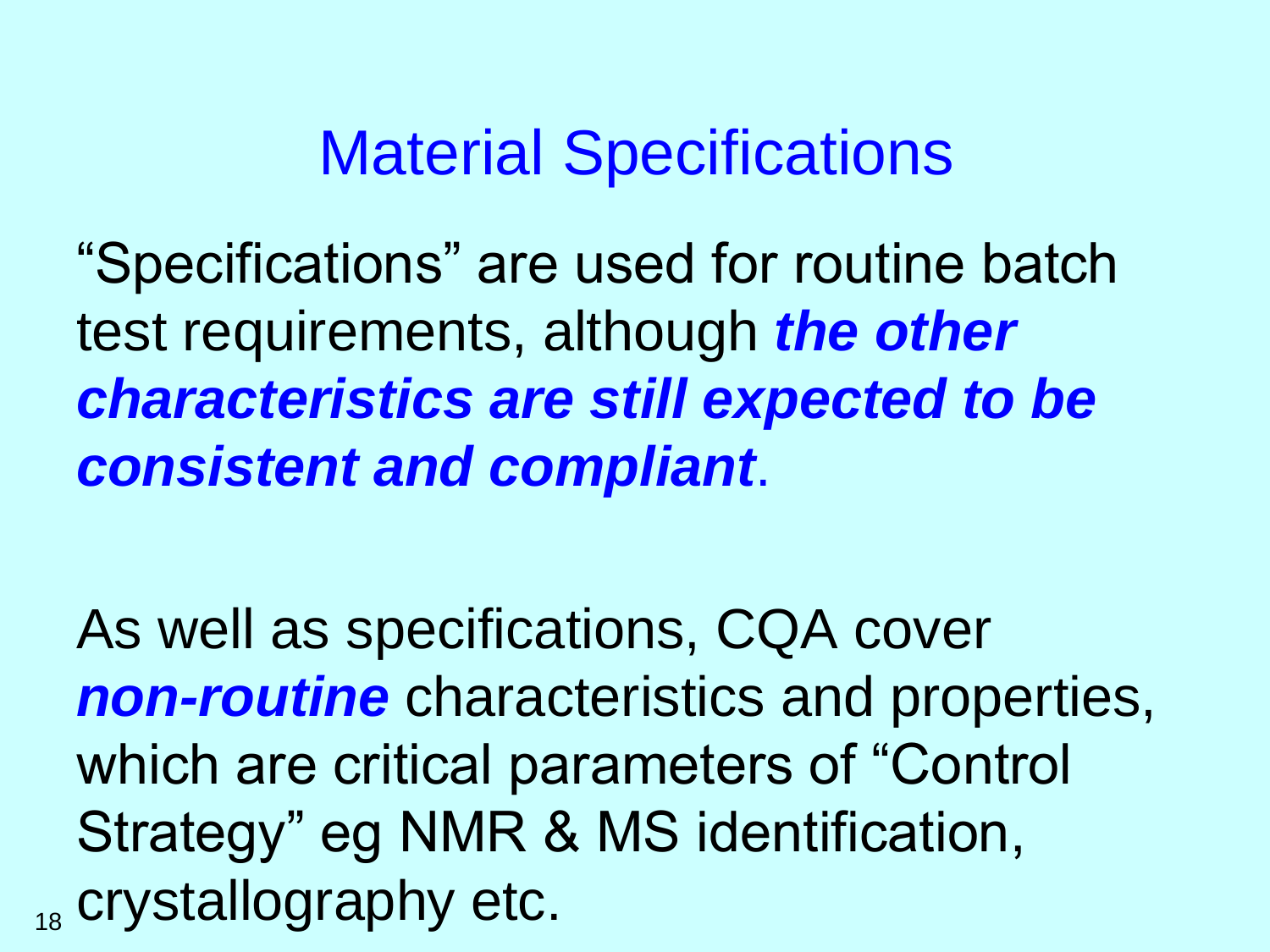"Specifications" are used for routine batch test requirements, although *the other characteristics are still expected to be consistent and compliant*.

As well as specifications, CQA cover *non-routine* characteristics and properties, which are critical parameters of "Control Strategy" eg NMR & MS identification,  $_{18}$  crystallography etc.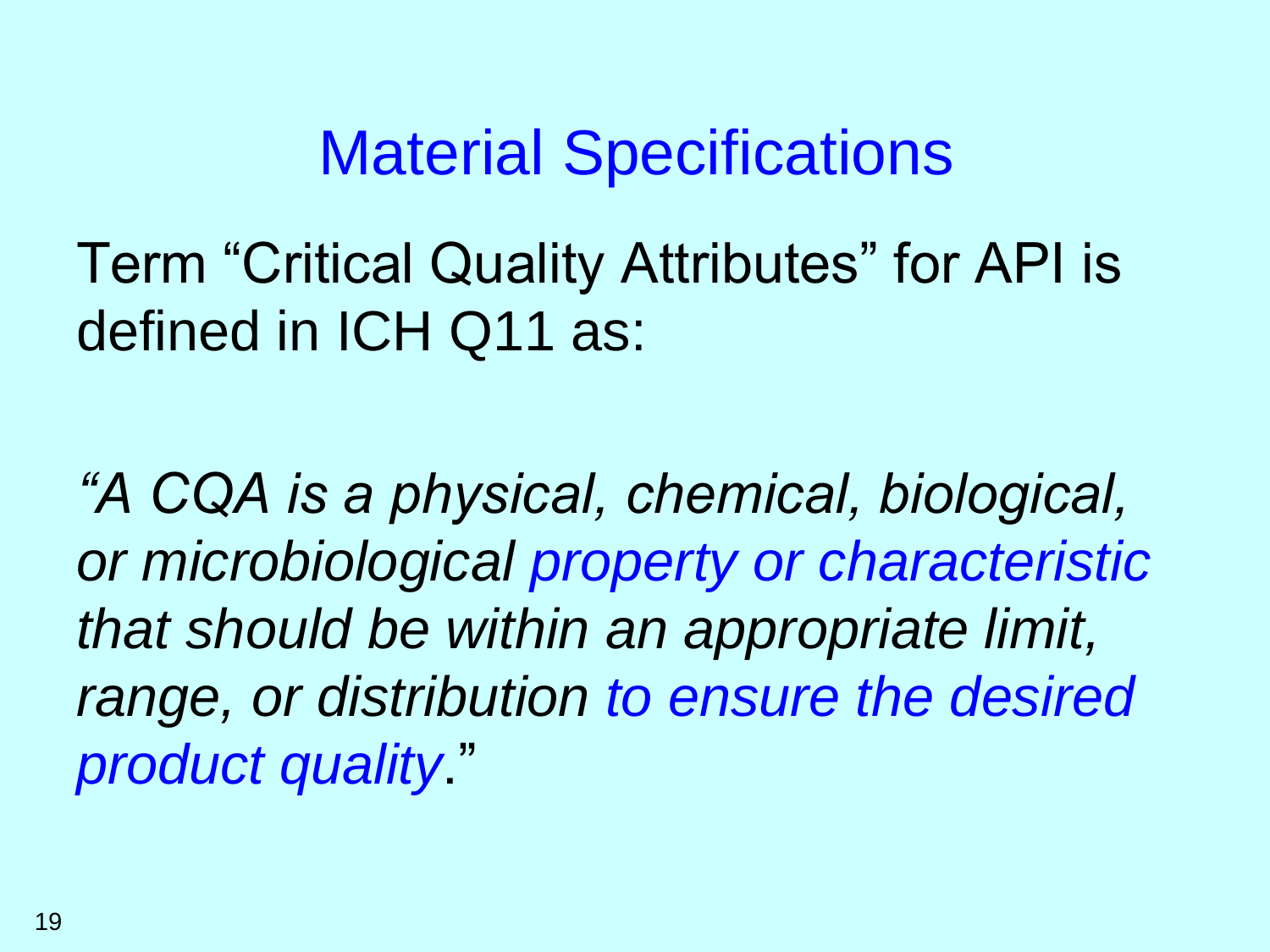Term "Critical Quality Attributes" for API is defined in ICH Q11 as:

*"A CQA is a physical, chemical, biological, or microbiological property or characteristic that should be within an appropriate limit, range, or distribution to ensure the desired product quality*."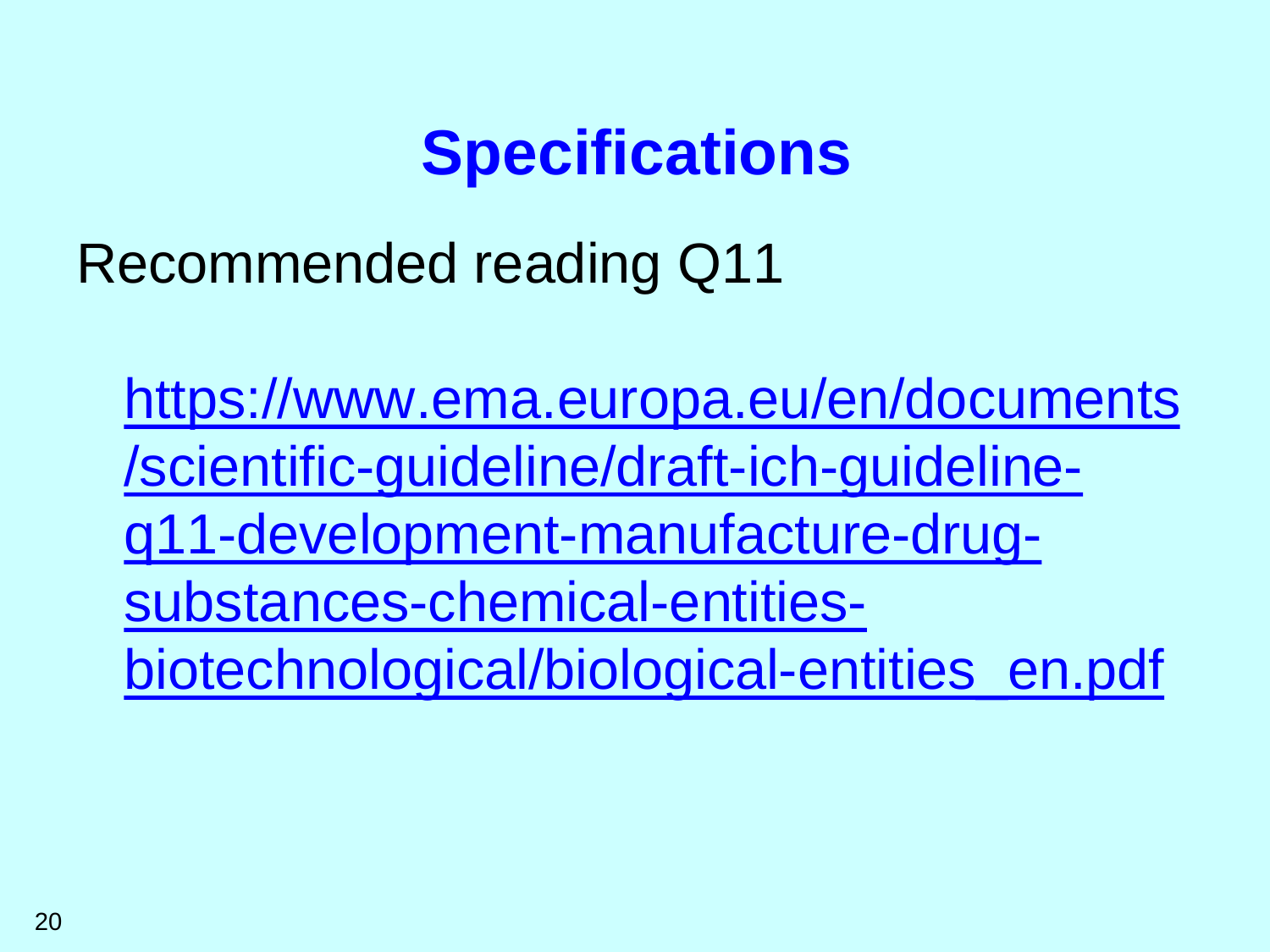# **Specifications**

Recommended reading Q11

https://www.ema.europa.eu/en/documents /scientific-guideline/draft-ich-guidelineq11-development-manufacture-drugsubstances-chemical-entitiesbiotechnological/biological-entities\_en.pdf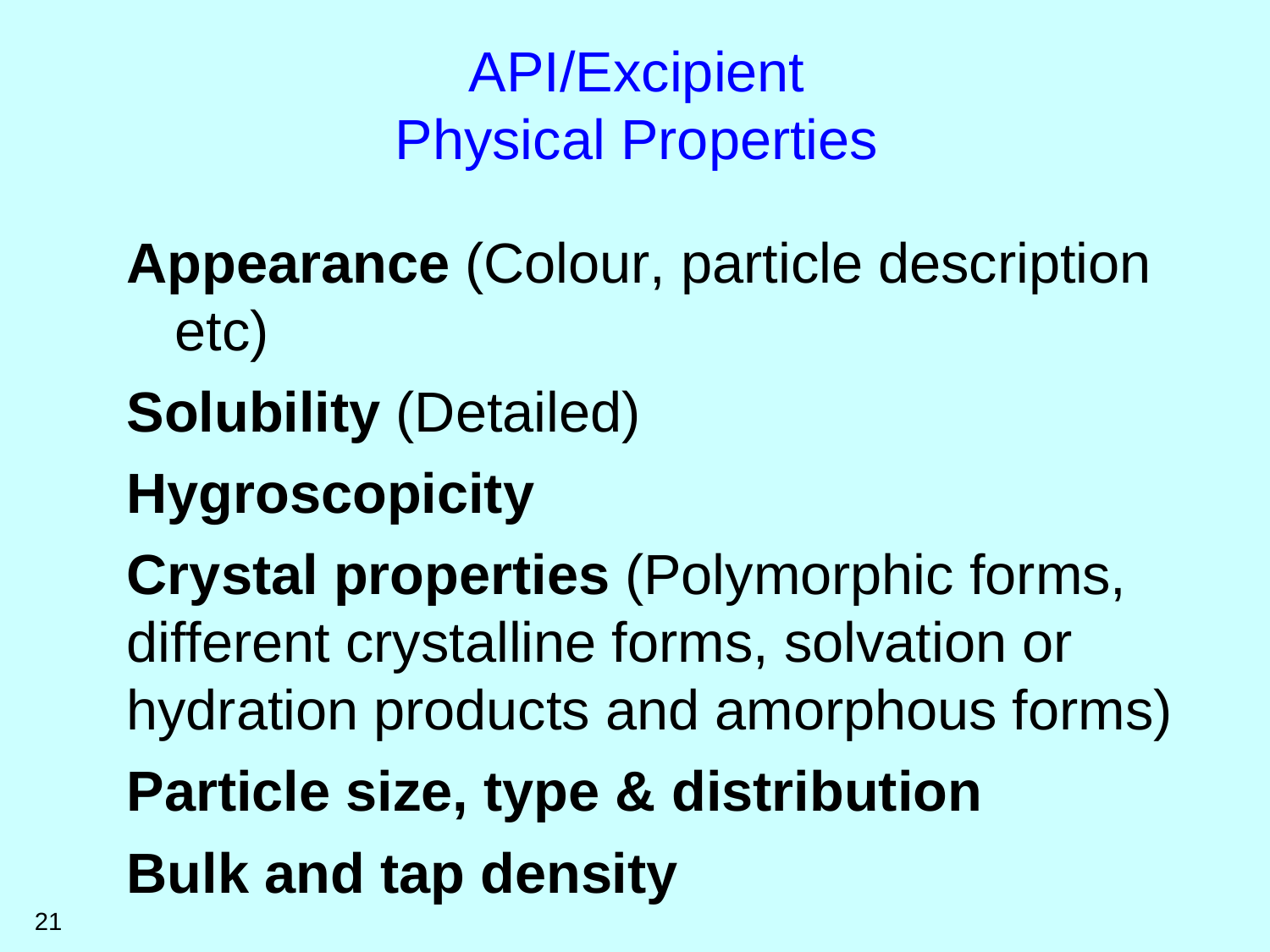# API/Excipient Physical Properties

**Appearance** (Colour, particle description etc)

**Solubility** (Detailed)

# **Hygroscopicity**

**Crystal properties** (Polymorphic forms, different crystalline forms, solvation or hydration products and amorphous forms) **Particle size, type & distribution Bulk and tap density**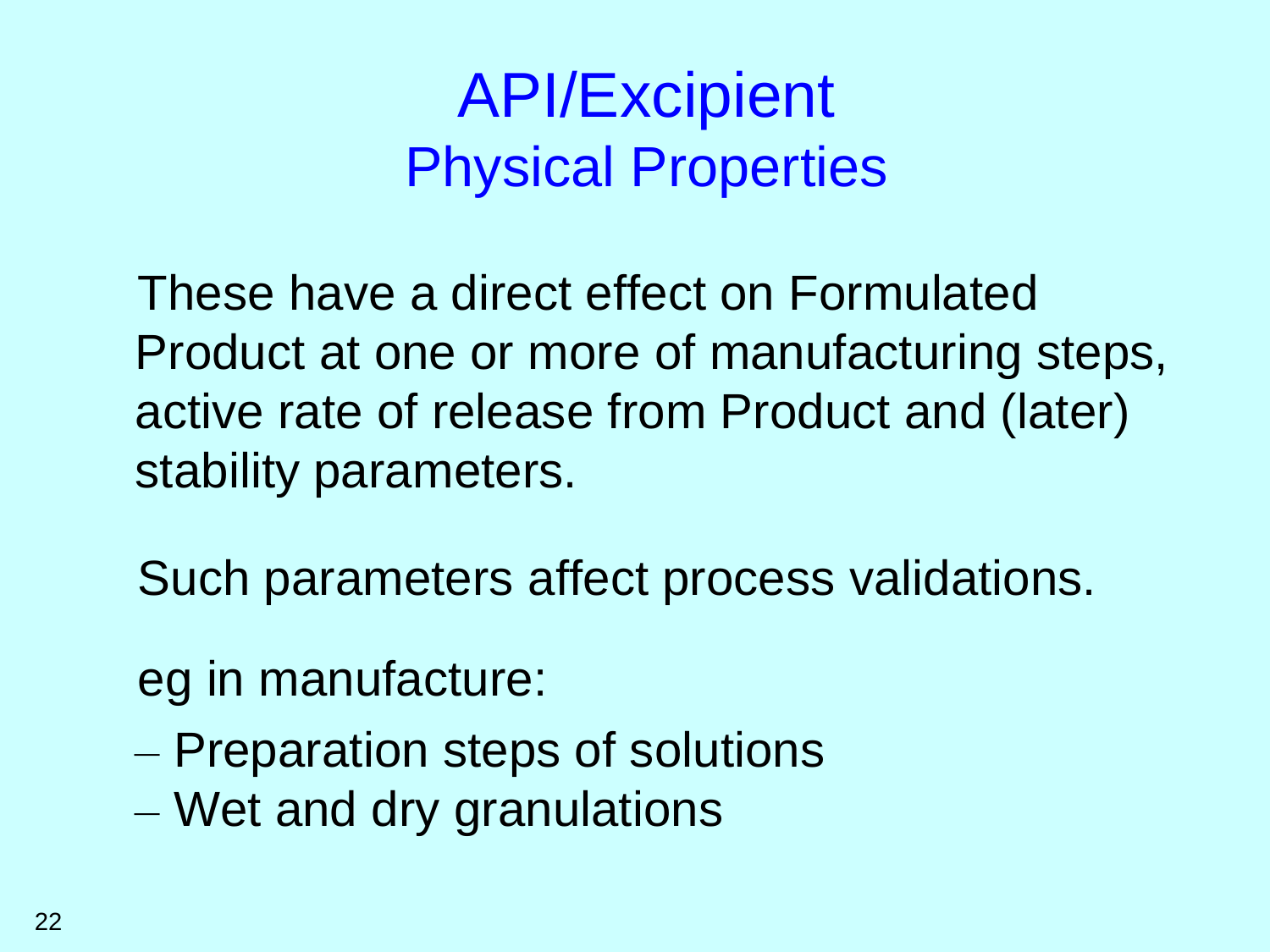# API/Excipient Physical Properties

These have a direct effect on Formulated Product at one or more of manufacturing steps, active rate of release from Product and (later) stability parameters.

Such parameters affect process validations.

eg in manufacture:

- Preparation steps of solutions
- Wet and dry granulations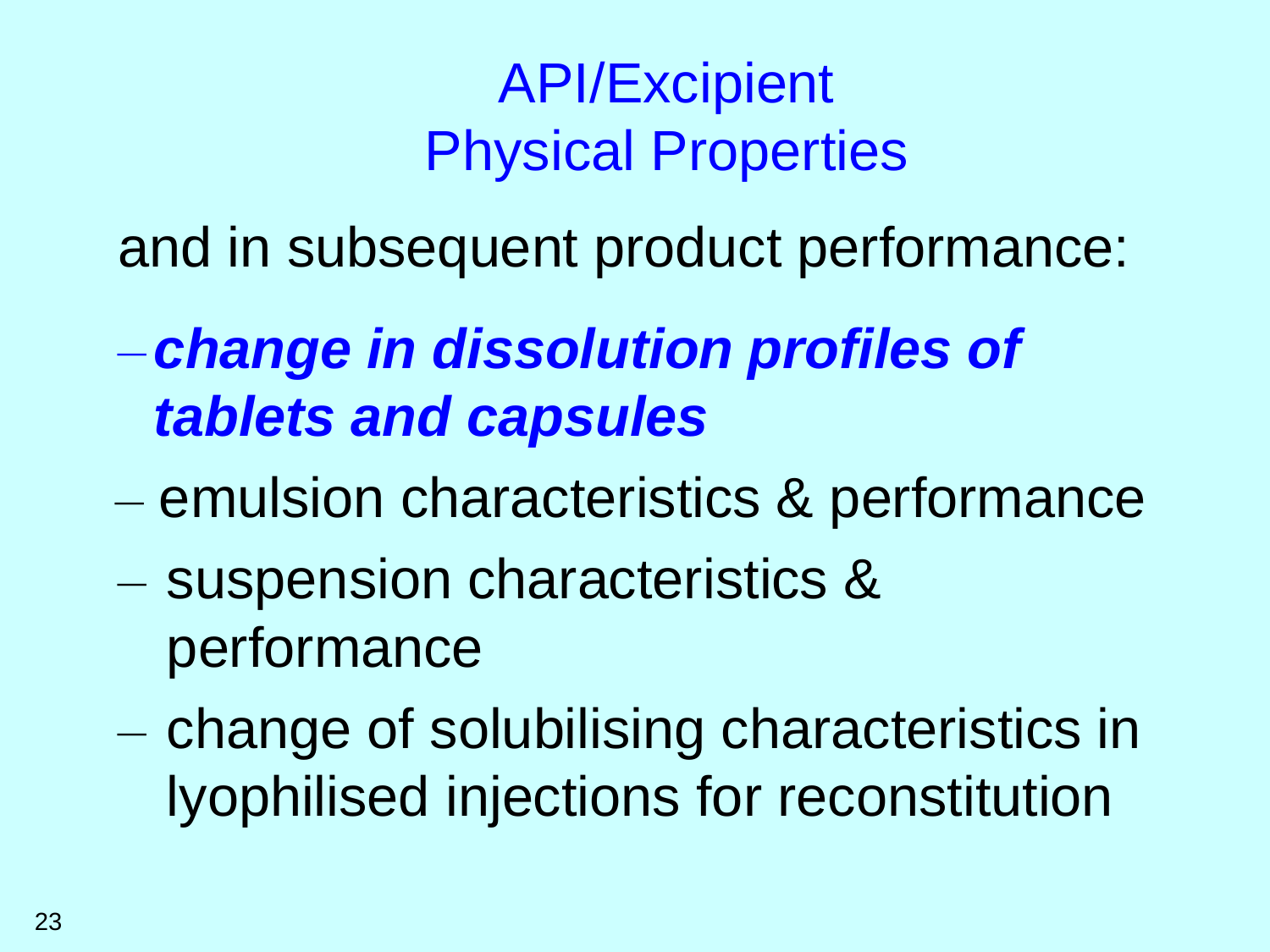## API/Excipient Physical Properties

and in subsequent product performance:

- *change in dissolution profiles of tablets and capsules*
- emulsion characteristics & performance
- suspension characteristics & performance
- change of solubilising characteristics in lyophilised injections for reconstitution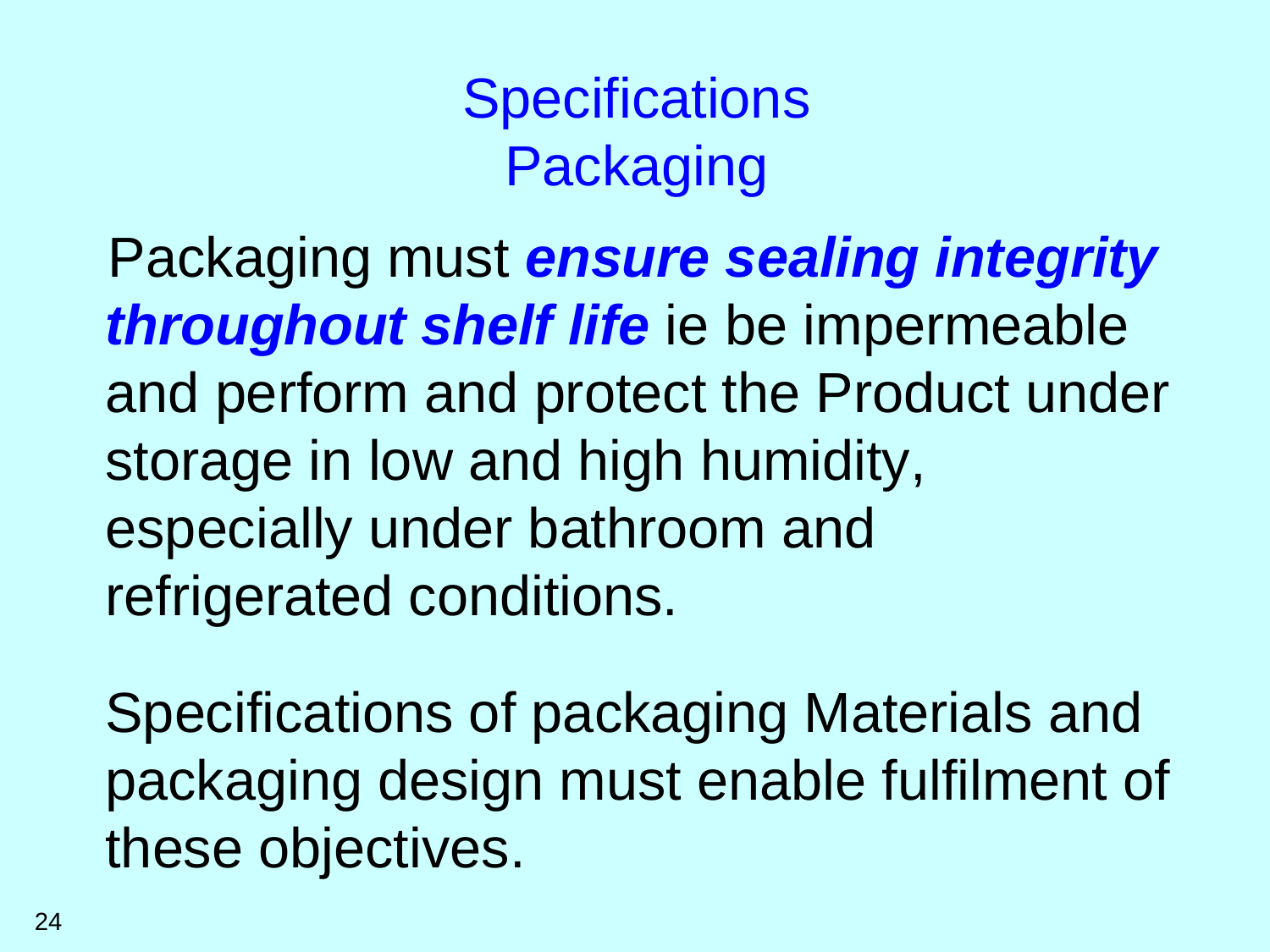**Specifications Packaging** 

Packaging must *ensure sealing integrity throughout shelf life* ie be impermeable and perform and protect the Product under storage in low and high humidity, especially under bathroom and refrigerated conditions.

Specifications of packaging Materials and packaging design must enable fulfilment of these objectives.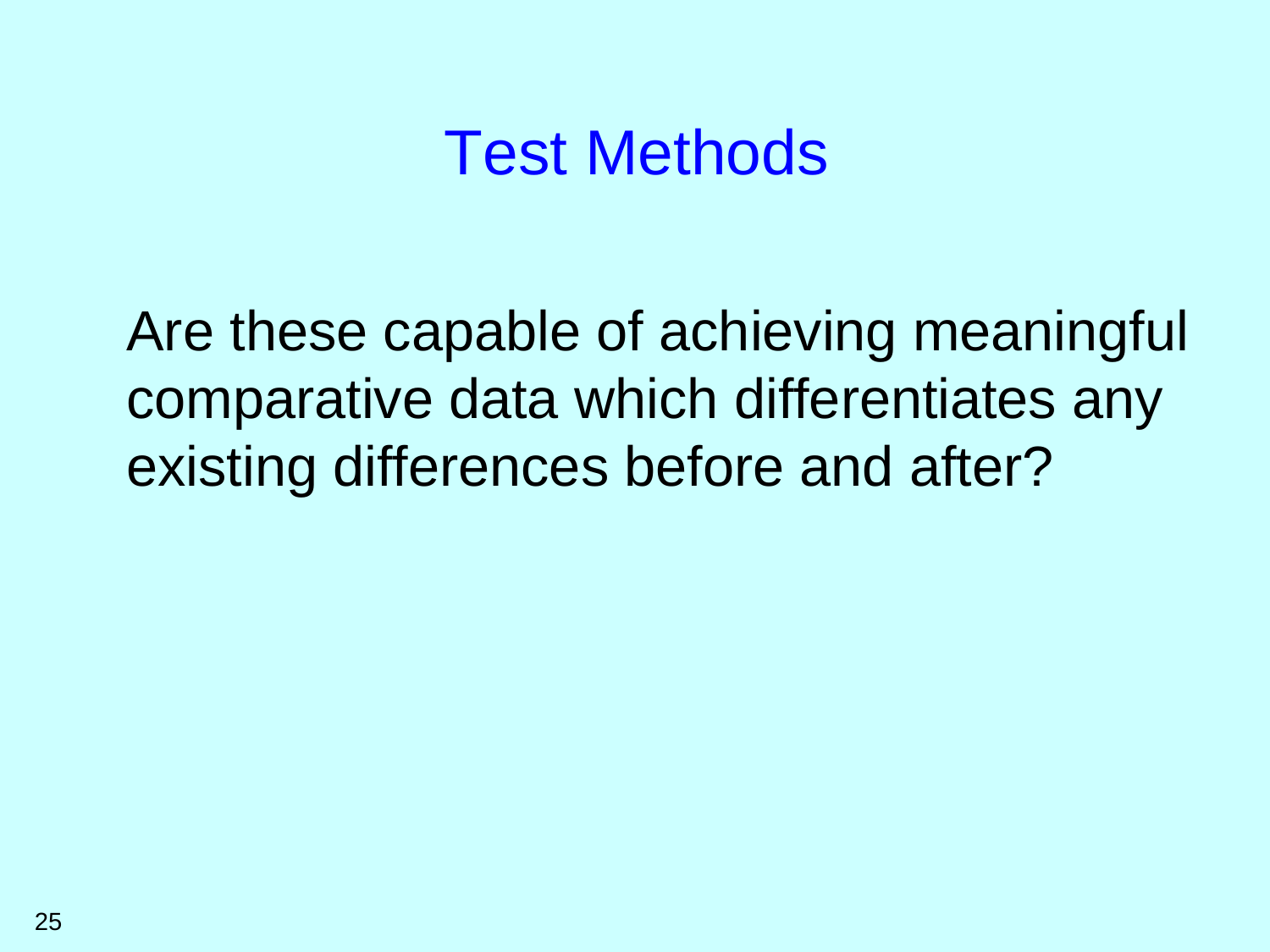## Test Methods

Are these capable of achieving meaningful comparative data which differentiates any existing differences before and after?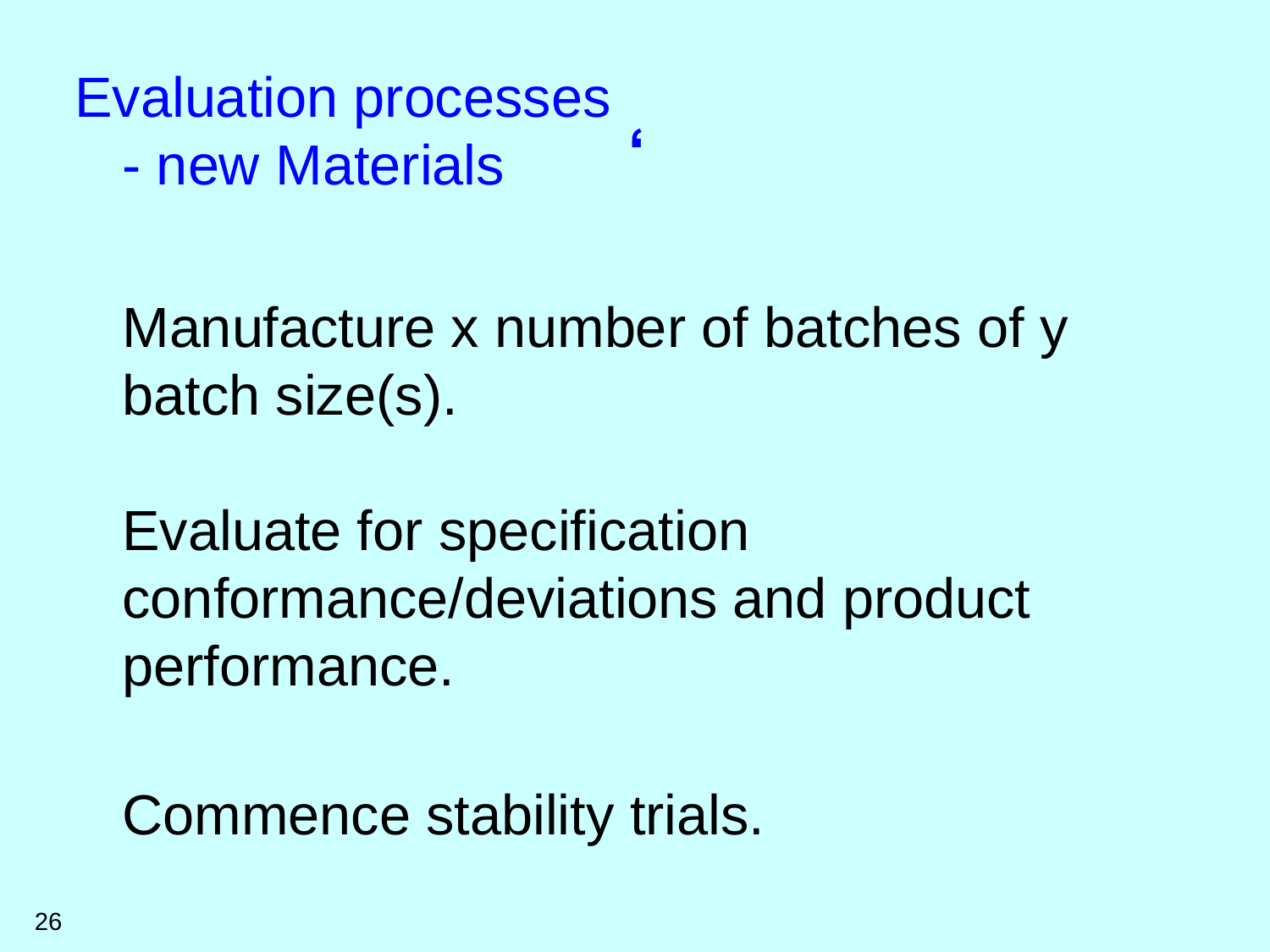**'** Evaluation processes - new Materials

Manufacture x number of batches of y batch size(s).

Evaluate for specification conformance/deviations and product performance.

Commence stability trials.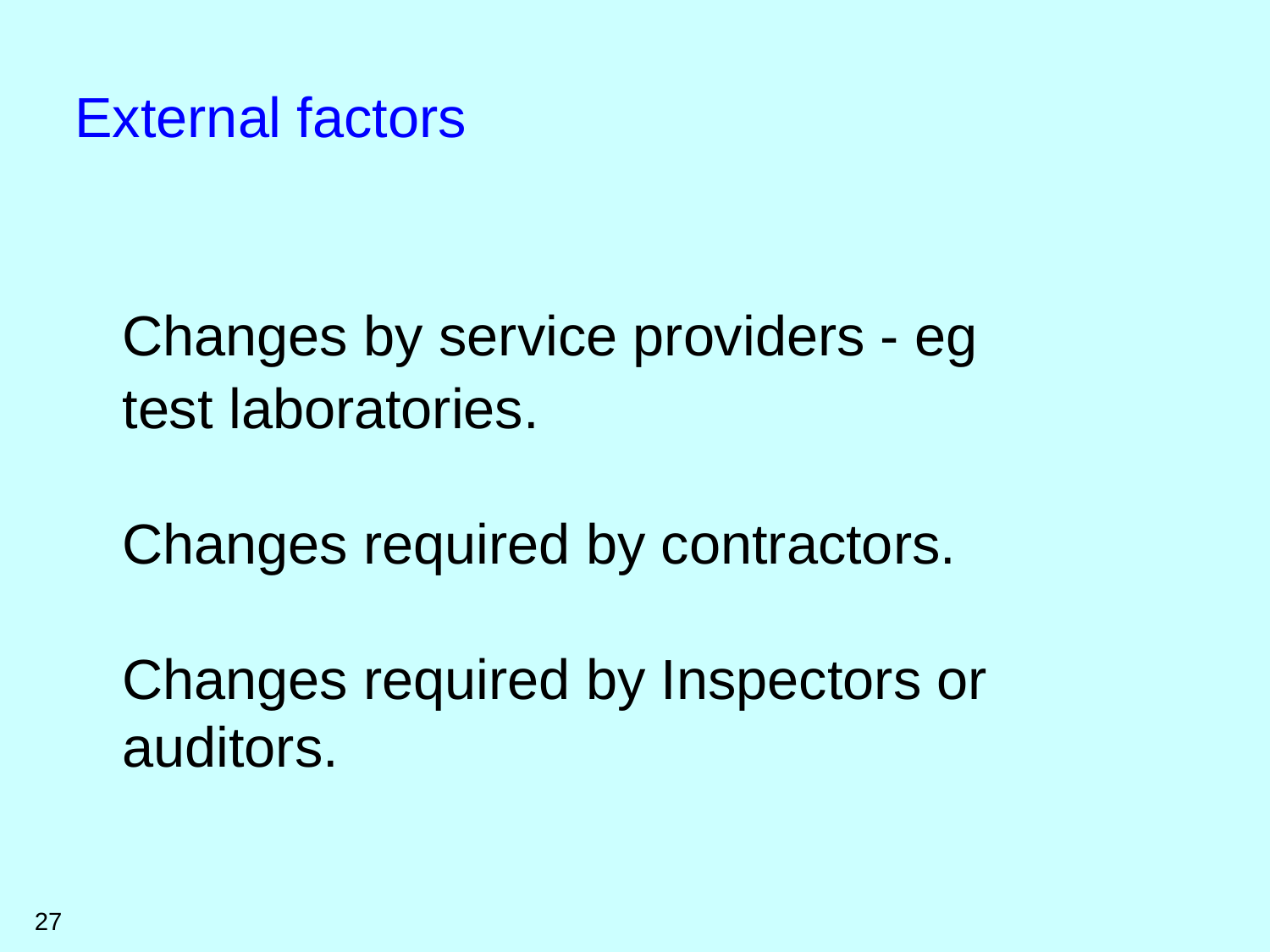External factors

## Changes by service providers - eg test laboratories.

Changes required by contractors.

Changes required by Inspectors or auditors.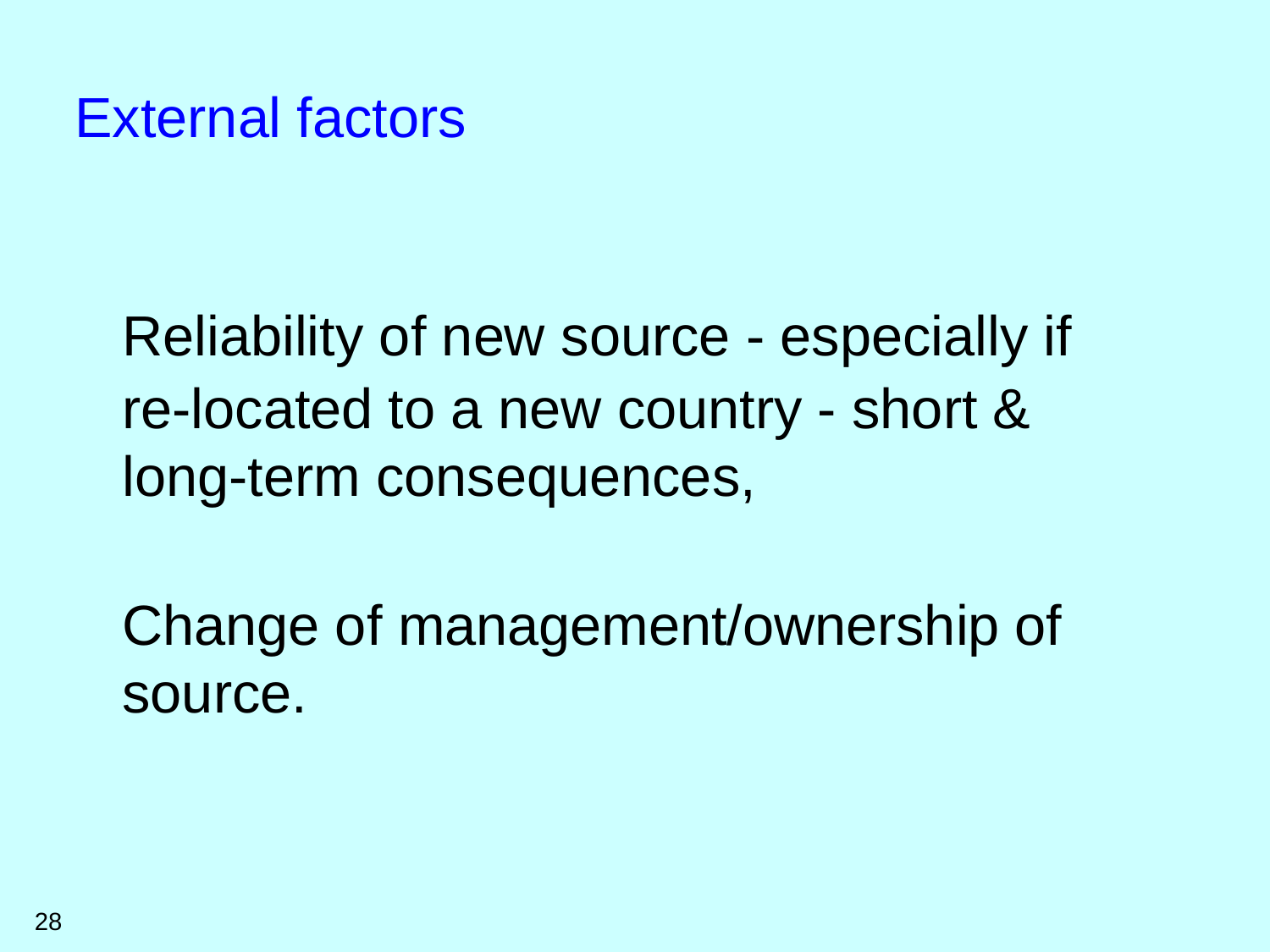#### External factors

Reliability of new source - especially if re-located to a new country - short & long-term consequences,

Change of management/ownership of source.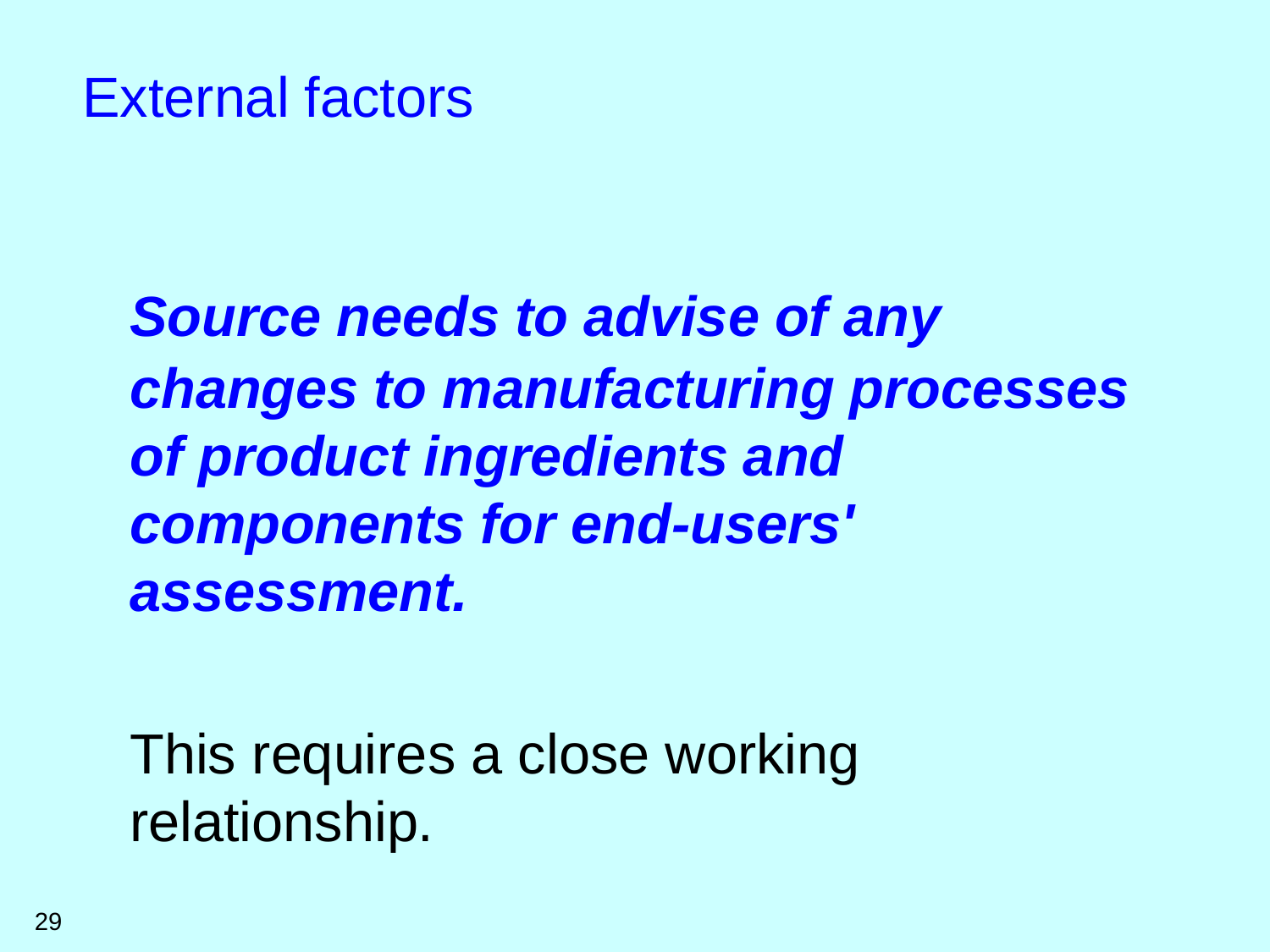## *Source needs to advise of any changes to manufacturing processes of product ingredients and components for end-users' assessment.*

This requires a close working relationship.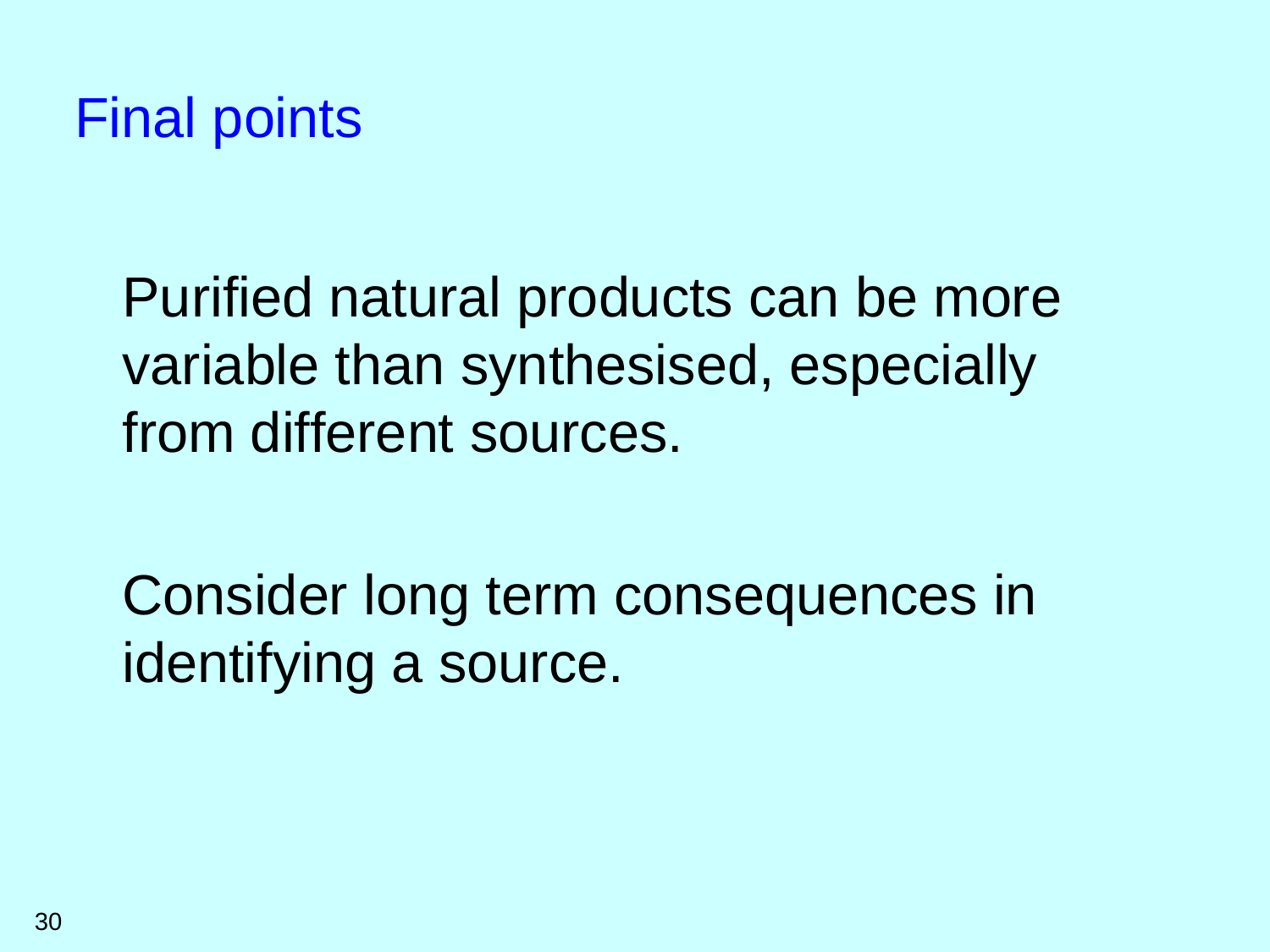

Purified natural products can be more variable than synthesised, especially from different sources.

Consider long term consequences in identifying a source.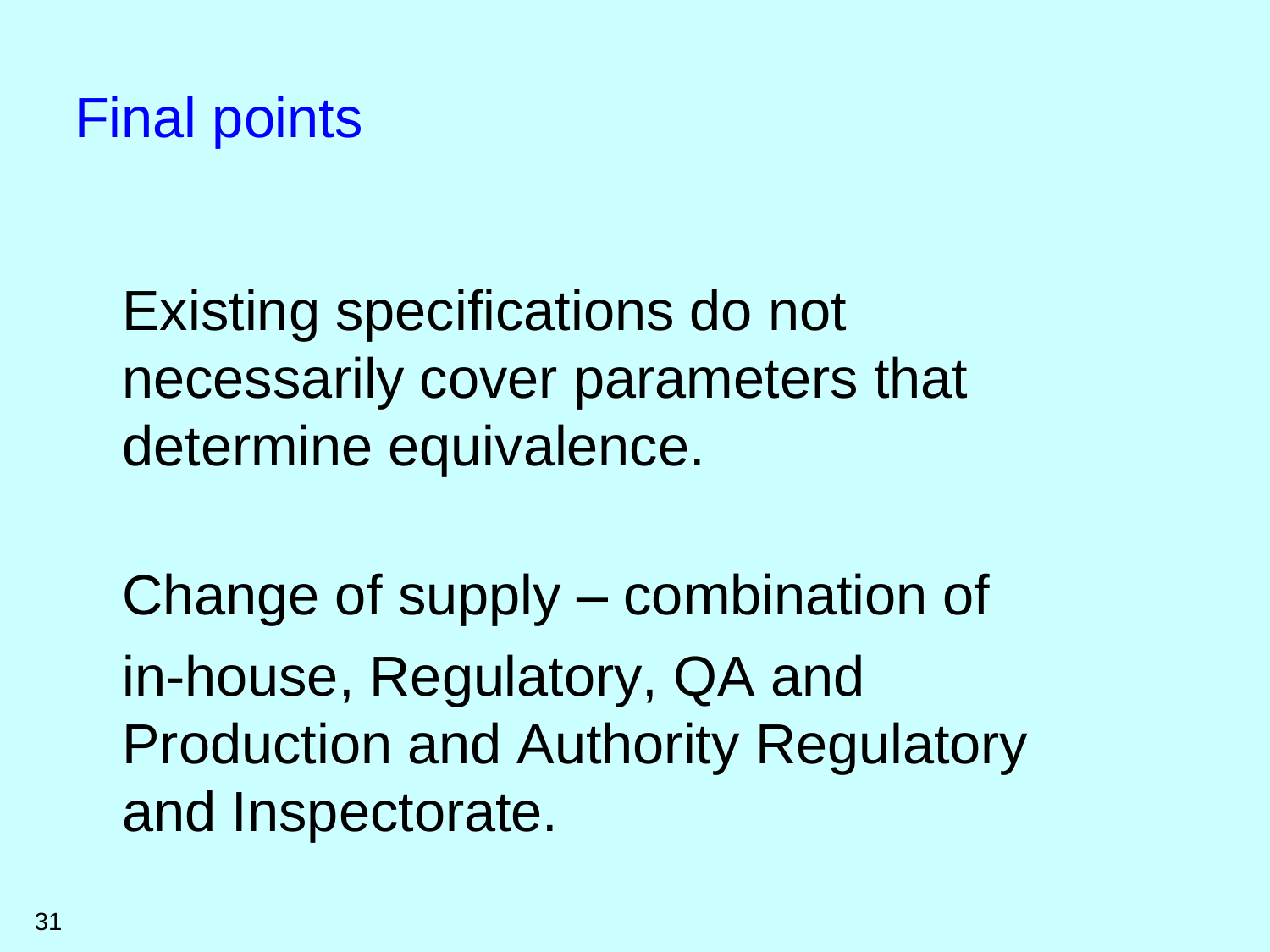### Final points

Existing specifications do not necessarily cover parameters that determine equivalence.

Change of supply – combination of in-house, Regulatory, QA and Production and Authority Regulatory and Inspectorate.